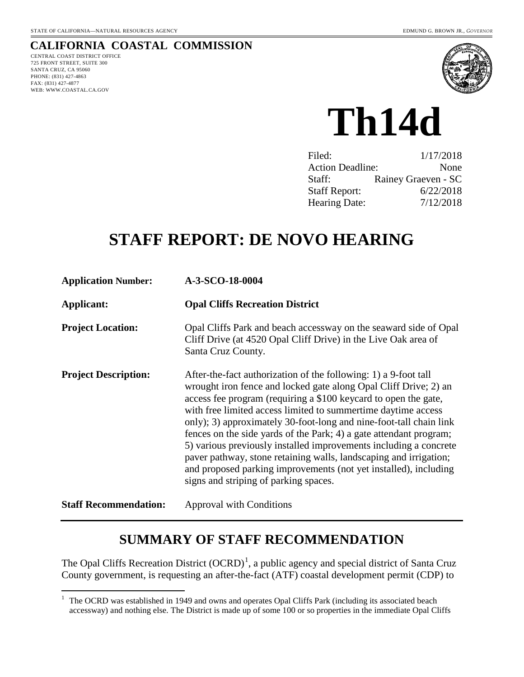#### **CALIFORNIA COASTAL COMMISSION** CENTRAL COAST DISTRICT OFFICE

725 FRONT STREET, SUITE 300 SANTA CRUZ, CA 95060 PHONE: (831) 427-4863 FAX: (831) 427-4877 WEB: WWW.COASTAL.CA.GOV

 $\overline{a}$ 



**Th14d** 

| 1/17/2018                       |
|---------------------------------|
| <b>Action Deadline:</b><br>None |
| Rainey Graeven - SC             |
| 6/22/2018                       |
| 7/12/2018                       |
|                                 |

# **STAFF REPORT: DE NOVO HEARING**

| <b>Application Number:</b>   | A-3-SCO-18-0004                                                                                                                                                                                                                                                                                                                                                                                                                                                                                                                                                                                                                                                            |
|------------------------------|----------------------------------------------------------------------------------------------------------------------------------------------------------------------------------------------------------------------------------------------------------------------------------------------------------------------------------------------------------------------------------------------------------------------------------------------------------------------------------------------------------------------------------------------------------------------------------------------------------------------------------------------------------------------------|
| Applicant:                   | <b>Opal Cliffs Recreation District</b>                                                                                                                                                                                                                                                                                                                                                                                                                                                                                                                                                                                                                                     |
| <b>Project Location:</b>     | Opal Cliffs Park and beach accessway on the seaward side of Opal<br>Cliff Drive (at 4520 Opal Cliff Drive) in the Live Oak area of<br>Santa Cruz County.                                                                                                                                                                                                                                                                                                                                                                                                                                                                                                                   |
| <b>Project Description:</b>  | After-the-fact authorization of the following: 1) a 9-foot tall<br>wrought iron fence and locked gate along Opal Cliff Drive; 2) an<br>access fee program (requiring a \$100 keycard to open the gate,<br>with free limited access limited to summertime daytime access<br>only); 3) approximately 30-foot-long and nine-foot-tall chain link<br>fences on the side yards of the Park; 4) a gate attendant program;<br>5) various previously installed improvements including a concrete<br>paver pathway, stone retaining walls, landscaping and irrigation;<br>and proposed parking improvements (not yet installed), including<br>signs and striping of parking spaces. |
| <b>Staff Recommendation:</b> | <b>Approval with Conditions</b>                                                                                                                                                                                                                                                                                                                                                                                                                                                                                                                                                                                                                                            |

# **SUMMARY OF STAFF RECOMMENDATION**

The Opal Cliffs Recreation District  $(OCRD)^1$  $(OCRD)^1$ , a public agency and special district of Santa Cruz County government, is requesting an after-the-fact (ATF) coastal development permit (CDP) to

<span id="page-0-0"></span> $1$  The OCRD was established in 1949 and owns and operates Opal Cliffs Park (including its associated beach accessway) and nothing else. The District is made up of some 100 or so properties in the immediate Opal Cliffs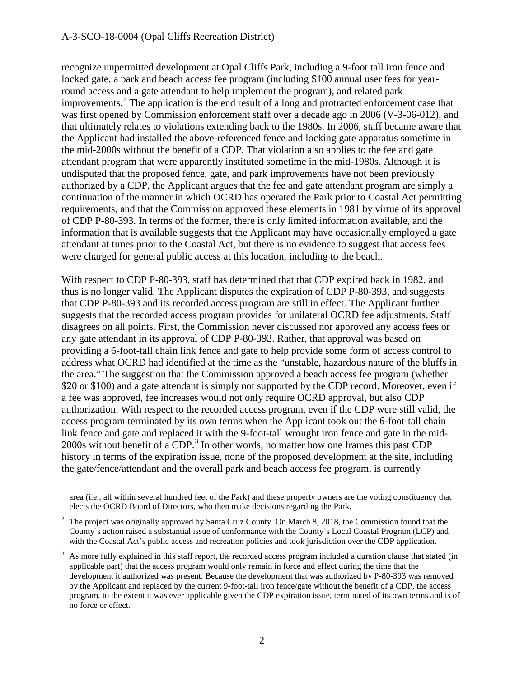#### A-3-SCO-18-0004 (Opal Cliffs Recreation District)

 $\overline{a}$ 

recognize unpermitted development at Opal Cliffs Park, including a 9-foot tall iron fence and locked gate, a park and beach access fee program (including \$100 annual user fees for yearround access and a gate attendant to help implement the program), and related park improvements. $^{2}$  $^{2}$  $^{2}$  The application is the end result of a long and protracted enforcement case that was first opened by Commission enforcement staff over a decade ago in 2006 (V-3-06-012), and that ultimately relates to violations extending back to the 1980s. In 2006, staff became aware that the Applicant had installed the above-referenced fence and locking gate apparatus sometime in the mid-2000s without the benefit of a CDP. That violation also applies to the fee and gate attendant program that were apparently instituted sometime in the mid-1980s. Although it is undisputed that the proposed fence, gate, and park improvements have not been previously authorized by a CDP, the Applicant argues that the fee and gate attendant program are simply a continuation of the manner in which OCRD has operated the Park prior to Coastal Act permitting requirements, and that the Commission approved these elements in 1981 by virtue of its approval of CDP P-80-393. In terms of the former, there is only limited information available, and the information that is available suggests that the Applicant may have occasionally employed a gate attendant at times prior to the Coastal Act, but there is no evidence to suggest that access fees were charged for general public access at this location, including to the beach.

With respect to CDP P-80-393, staff has determined that that CDP expired back in 1982, and thus is no longer valid. The Applicant disputes the expiration of CDP P-80-393, and suggests that CDP P-80-393 and its recorded access program are still in effect. The Applicant further suggests that the recorded access program provides for unilateral OCRD fee adjustments. Staff disagrees on all points. First, the Commission never discussed nor approved any access fees or any gate attendant in its approval of CDP P-80-393. Rather, that approval was based on providing a 6-foot-tall chain link fence and gate to help provide some form of access control to address what OCRD had identified at the time as the "unstable, hazardous nature of the bluffs in the area." The suggestion that the Commission approved a beach access fee program (whether \$20 or \$100) and a gate attendant is simply not supported by the CDP record. Moreover, even if a fee was approved, fee increases would not only require OCRD approval, but also CDP authorization. With respect to the recorded access program, even if the CDP were still valid, the access program terminated by its own terms when the Applicant took out the 6-foot-tall chain link fence and gate and replaced it with the 9-foot-tall wrought iron fence and gate in the mid-2000s without benefit of a CDP.<sup>[3](#page-1-1)</sup> In other words, no matter how one frames this past CDP history in terms of the expiration issue, none of the proposed development at the site, including the gate/fence/attendant and the overall park and beach access fee program, is currently

area (i.e., all within several hundred feet of the Park) and these property owners are the voting constituency that elects the OCRD Board of Directors, who then make decisions regarding the Park.

<span id="page-1-0"></span> $2\degree$  The project was originally approved by Santa Cruz County. On March 8, 2018, the Commission found that the County's action raised a substantial issue of conformance with the County's Local Coastal Program (LCP) and with the Coastal Act's public access and recreation policies and took jurisdiction over the CDP application.

<span id="page-1-1"></span> $3\text{ A}s$  more fully explained in this staff report, the recorded access program included a duration clause that stated (in applicable part) that the access program would only remain in force and effect during the time that the development it authorized was present. Because the development that was authorized by P-80-393 was removed by the Applicant and replaced by the current 9-foot-tall iron fence/gate without the benefit of a CDP, the access program, to the extent it was ever applicable given the CDP expiration issue, terminated of its own terms and is of no force or effect.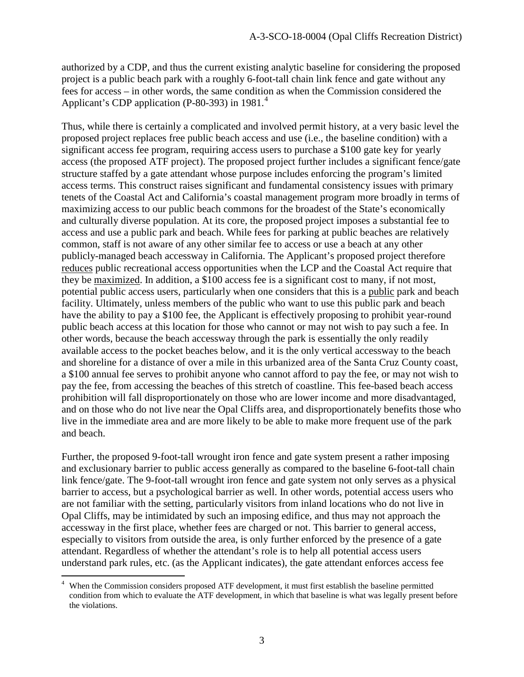authorized by a CDP, and thus the current existing analytic baseline for considering the proposed project is a public beach park with a roughly 6-foot-tall chain link fence and gate without any fees for access – in other words, the same condition as when the Commission considered the Applicant's CDP application (P-80-393) in 1981. $<sup>4</sup>$  $<sup>4</sup>$  $<sup>4</sup>$ </sup>

Thus, while there is certainly a complicated and involved permit history, at a very basic level the proposed project replaces free public beach access and use (i.e., the baseline condition) with a significant access fee program, requiring access users to purchase a \$100 gate key for yearly access (the proposed ATF project). The proposed project further includes a significant fence/gate structure staffed by a gate attendant whose purpose includes enforcing the program's limited access terms. This construct raises significant and fundamental consistency issues with primary tenets of the Coastal Act and California's coastal management program more broadly in terms of maximizing access to our public beach commons for the broadest of the State's economically and culturally diverse population. At its core, the proposed project imposes a substantial fee to access and use a public park and beach. While fees for parking at public beaches are relatively common, staff is not aware of any other similar fee to access or use a beach at any other publicly-managed beach accessway in California. The Applicant's proposed project therefore reduces public recreational access opportunities when the LCP and the Coastal Act require that they be maximized. In addition, a \$100 access fee is a significant cost to many, if not most, potential public access users, particularly when one considers that this is a public park and beach facility. Ultimately, unless members of the public who want to use this public park and beach have the ability to pay a \$100 fee, the Applicant is effectively proposing to prohibit year-round public beach access at this location for those who cannot or may not wish to pay such a fee. In other words, because the beach accessway through the park is essentially the only readily available access to the pocket beaches below, and it is the only vertical accessway to the beach and shoreline for a distance of over a mile in this urbanized area of the Santa Cruz County coast, a \$100 annual fee serves to prohibit anyone who cannot afford to pay the fee, or may not wish to pay the fee, from accessing the beaches of this stretch of coastline. This fee-based beach access prohibition will fall disproportionately on those who are lower income and more disadvantaged, and on those who do not live near the Opal Cliffs area, and disproportionately benefits those who live in the immediate area and are more likely to be able to make more frequent use of the park and beach.

Further, the proposed 9-foot-tall wrought iron fence and gate system present a rather imposing and exclusionary barrier to public access generally as compared to the baseline 6-foot-tall chain link fence/gate. The 9-foot-tall wrought iron fence and gate system not only serves as a physical barrier to access, but a psychological barrier as well. In other words, potential access users who are not familiar with the setting, particularly visitors from inland locations who do not live in Opal Cliffs, may be intimidated by such an imposing edifice, and thus may not approach the accessway in the first place, whether fees are charged or not. This barrier to general access, especially to visitors from outside the area, is only further enforced by the presence of a gate attendant. Regardless of whether the attendant's role is to help all potential access users understand park rules, etc. (as the Applicant indicates), the gate attendant enforces access fee

<span id="page-2-0"></span><sup>4</sup> When the Commission considers proposed ATF development, it must first establish the baseline permitted condition from which to evaluate the ATF development, in which that baseline is what was legally present before the violations.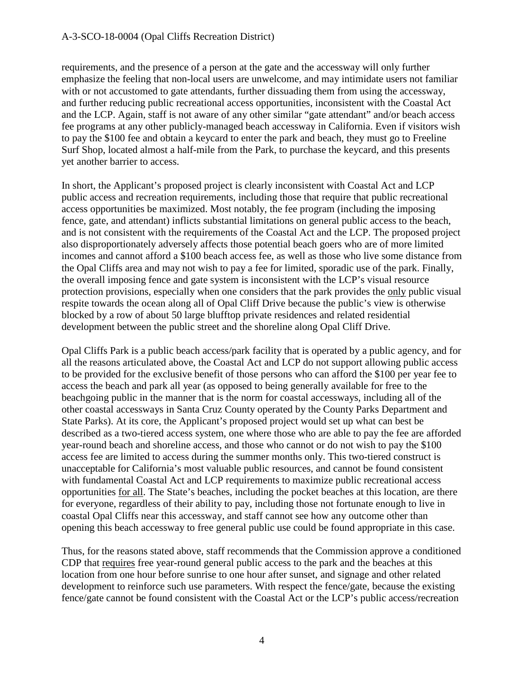requirements, and the presence of a person at the gate and the accessway will only further emphasize the feeling that non-local users are unwelcome, and may intimidate users not familiar with or not accustomed to gate attendants, further dissuading them from using the accessway, and further reducing public recreational access opportunities, inconsistent with the Coastal Act and the LCP. Again, staff is not aware of any other similar "gate attendant" and/or beach access fee programs at any other publicly-managed beach accessway in California. Even if visitors wish to pay the \$100 fee and obtain a keycard to enter the park and beach, they must go to Freeline Surf Shop, located almost a half-mile from the Park, to purchase the keycard, and this presents yet another barrier to access.

In short, the Applicant's proposed project is clearly inconsistent with Coastal Act and LCP public access and recreation requirements, including those that require that public recreational access opportunities be maximized. Most notably, the fee program (including the imposing fence, gate, and attendant) inflicts substantial limitations on general public access to the beach, and is not consistent with the requirements of the Coastal Act and the LCP. The proposed project also disproportionately adversely affects those potential beach goers who are of more limited incomes and cannot afford a \$100 beach access fee, as well as those who live some distance from the Opal Cliffs area and may not wish to pay a fee for limited, sporadic use of the park. Finally, the overall imposing fence and gate system is inconsistent with the LCP's visual resource protection provisions, especially when one considers that the park provides the only public visual respite towards the ocean along all of Opal Cliff Drive because the public's view is otherwise blocked by a row of about 50 large blufftop private residences and related residential development between the public street and the shoreline along Opal Cliff Drive.

Opal Cliffs Park is a public beach access/park facility that is operated by a public agency, and for all the reasons articulated above, the Coastal Act and LCP do not support allowing public access to be provided for the exclusive benefit of those persons who can afford the \$100 per year fee to access the beach and park all year (as opposed to being generally available for free to the beachgoing public in the manner that is the norm for coastal accessways, including all of the other coastal accessways in Santa Cruz County operated by the County Parks Department and State Parks). At its core, the Applicant's proposed project would set up what can best be described as a two-tiered access system, one where those who are able to pay the fee are afforded year-round beach and shoreline access, and those who cannot or do not wish to pay the \$100 access fee are limited to access during the summer months only. This two-tiered construct is unacceptable for California's most valuable public resources, and cannot be found consistent with fundamental Coastal Act and LCP requirements to maximize public recreational access opportunities for all. The State's beaches, including the pocket beaches at this location, are there for everyone, regardless of their ability to pay, including those not fortunate enough to live in coastal Opal Cliffs near this accessway, and staff cannot see how any outcome other than opening this beach accessway to free general public use could be found appropriate in this case.

Thus, for the reasons stated above, staff recommends that the Commission approve a conditioned CDP that requires free year-round general public access to the park and the beaches at this location from one hour before sunrise to one hour after sunset, and signage and other related development to reinforce such use parameters. With respect the fence/gate, because the existing fence/gate cannot be found consistent with the Coastal Act or the LCP's public access/recreation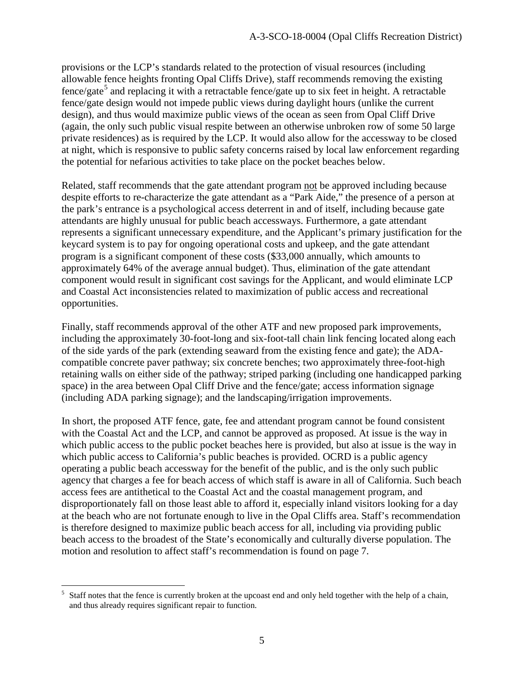provisions or the LCP's standards related to the protection of visual resources (including allowable fence heights fronting Opal Cliffs Drive), staff recommends removing the existing  $fence/gate<sup>5</sup>$  $fence/gate<sup>5</sup>$  $fence/gate<sup>5</sup>$  and replacing it with a retractable fence/gate up to six feet in height. A retractable fence/gate design would not impede public views during daylight hours (unlike the current design), and thus would maximize public views of the ocean as seen from Opal Cliff Drive (again, the only such public visual respite between an otherwise unbroken row of some 50 large private residences) as is required by the LCP. It would also allow for the accessway to be closed at night, which is responsive to public safety concerns raised by local law enforcement regarding the potential for nefarious activities to take place on the pocket beaches below.

Related, staff recommends that the gate attendant program not be approved including because despite efforts to re-characterize the gate attendant as a "Park Aide," the presence of a person at the park's entrance is a psychological access deterrent in and of itself, including because gate attendants are highly unusual for public beach accessways. Furthermore, a gate attendant represents a significant unnecessary expenditure, and the Applicant's primary justification for the keycard system is to pay for ongoing operational costs and upkeep, and the gate attendant program is a significant component of these costs (\$33,000 annually, which amounts to approximately 64% of the average annual budget). Thus, elimination of the gate attendant component would result in significant cost savings for the Applicant, and would eliminate LCP and Coastal Act inconsistencies related to maximization of public access and recreational opportunities.

Finally, staff recommends approval of the other ATF and new proposed park improvements, including the approximately 30-foot-long and six-foot-tall chain link fencing located along each of the side yards of the park (extending seaward from the existing fence and gate); the ADAcompatible concrete paver pathway; six concrete benches; two approximately three-foot-high retaining walls on either side of the pathway; striped parking (including one handicapped parking space) in the area between Opal Cliff Drive and the fence/gate; access information signage (including ADA parking signage); and the landscaping/irrigation improvements.

In short, the proposed ATF fence, gate, fee and attendant program cannot be found consistent with the Coastal Act and the LCP, and cannot be approved as proposed. At issue is the way in which public access to the public pocket beaches here is provided, but also at issue is the way in which public access to California's public beaches is provided. OCRD is a public agency operating a public beach accessway for the benefit of the public, and is the only such public agency that charges a fee for beach access of which staff is aware in all of California. Such beach access fees are antithetical to the Coastal Act and the coastal management program, and disproportionately fall on those least able to afford it, especially inland visitors looking for a day at the beach who are not fortunate enough to live in the Opal Cliffs area. Staff's recommendation is therefore designed to maximize public beach access for all, including via providing public beach access to the broadest of the State's economically and culturally diverse population. The motion and resolution to affect staff's recommendation is found on page 7.

<span id="page-4-0"></span> $\overline{a}$ 5 Staff notes that the fence is currently broken at the upcoast end and only held together with the help of a chain, and thus already requires significant repair to function.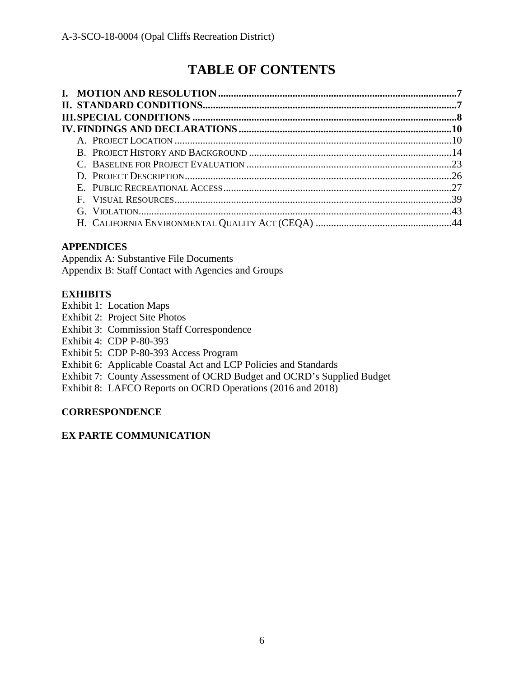# **TABLE OF CONTENTS**

# **APPENDICES**

Appendix A: Substantive File Documents Appendix B: Staff Contact with Agencies and Groups

# **EXHIBITS**

Exhibit 1: Location Maps

- Exhibit 2: Project Site Photos
- Exhibit 3: Commission Staff Correspondence
- Exhibit 4: CDP P-80-393
- Exhibit 5: CDP P-80-393 Access Program
- Exhibit 6: Applicable Coastal Act and LCP Policies and Standards
- Exhibit 7: County Assessment of OCRD Budget and OCRD's Supplied Budget
- Exhibit 8: LAFCO Reports on OCRD Operations (2016 and 2018)

# **CORRESPONDENCE**

# **EX PARTE COMMUNICATION**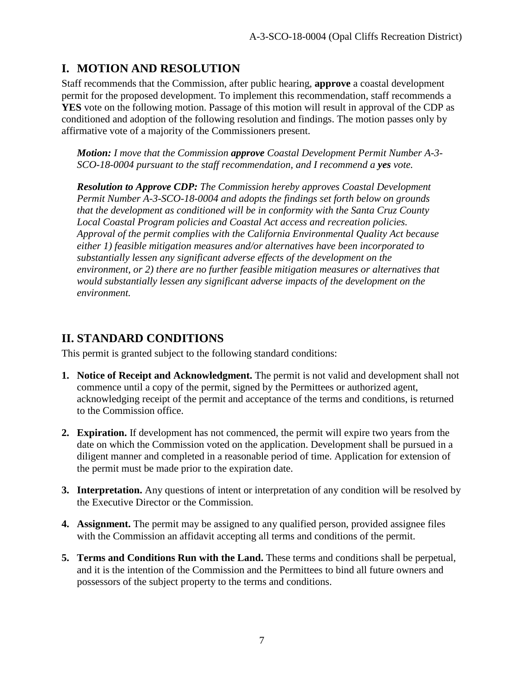# **I. MOTION AND RESOLUTION**

Staff recommends that the Commission, after public hearing, **approve** a coastal development permit for the proposed development. To implement this recommendation, staff recommends a **YES** vote on the following motion. Passage of this motion will result in approval of the CDP as conditioned and adoption of the following resolution and findings. The motion passes only by affirmative vote of a majority of the Commissioners present.

*Motion: I move that the Commission approve Coastal Development Permit Number A-3- SCO-18-0004 pursuant to the staff recommendation, and I recommend a yes vote.* 

*Resolution to Approve CDP: The Commission hereby approves Coastal Development Permit Number A-3-SCO-18-0004 and adopts the findings set forth below on grounds that the development as conditioned will be in conformity with the Santa Cruz County Local Coastal Program policies and Coastal Act access and recreation policies. Approval of the permit complies with the California Environmental Quality Act because either 1) feasible mitigation measures and/or alternatives have been incorporated to substantially lessen any significant adverse effects of the development on the environment, or 2) there are no further feasible mitigation measures or alternatives that would substantially lessen any significant adverse impacts of the development on the environment.* 

# **II. STANDARD CONDITIONS**

This permit is granted subject to the following standard conditions:

- **1. Notice of Receipt and Acknowledgment.** The permit is not valid and development shall not commence until a copy of the permit, signed by the Permittees or authorized agent, acknowledging receipt of the permit and acceptance of the terms and conditions, is returned to the Commission office.
- **2. Expiration.** If development has not commenced, the permit will expire two years from the date on which the Commission voted on the application. Development shall be pursued in a diligent manner and completed in a reasonable period of time. Application for extension of the permit must be made prior to the expiration date.
- **3. Interpretation.** Any questions of intent or interpretation of any condition will be resolved by the Executive Director or the Commission.
- **4. Assignment.** The permit may be assigned to any qualified person, provided assignee files with the Commission an affidavit accepting all terms and conditions of the permit.
- **5. Terms and Conditions Run with the Land.** These terms and conditions shall be perpetual, and it is the intention of the Commission and the Permittees to bind all future owners and possessors of the subject property to the terms and conditions.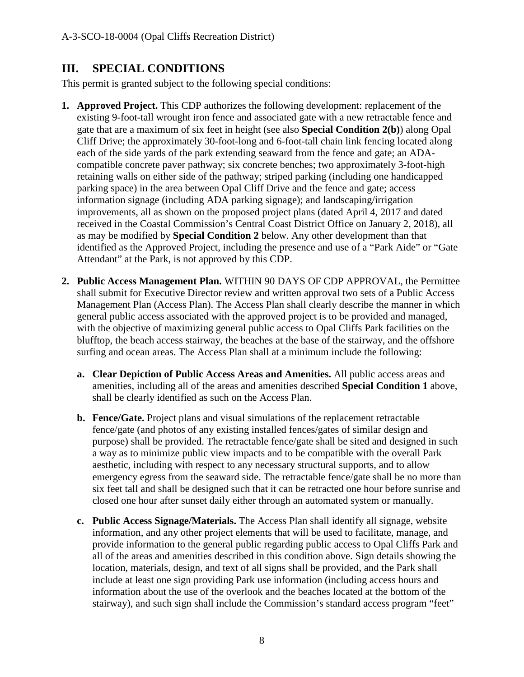# **III. SPECIAL CONDITIONS**

This permit is granted subject to the following special conditions:

- **1. Approved Project.** This CDP authorizes the following development: replacement of the existing 9-foot-tall wrought iron fence and associated gate with a new retractable fence and gate that are a maximum of six feet in height (see also **Special Condition 2(b)**) along Opal Cliff Drive; the approximately 30-foot-long and 6-foot-tall chain link fencing located along each of the side yards of the park extending seaward from the fence and gate; an ADAcompatible concrete paver pathway; six concrete benches; two approximately 3-foot-high retaining walls on either side of the pathway; striped parking (including one handicapped parking space) in the area between Opal Cliff Drive and the fence and gate; access information signage (including ADA parking signage); and landscaping/irrigation improvements, all as shown on the proposed project plans (dated April 4, 2017 and dated received in the Coastal Commission's Central Coast District Office on January 2, 2018), all as may be modified by **Special Condition 2** below. Any other development than that identified as the Approved Project, including the presence and use of a "Park Aide" or "Gate Attendant" at the Park, is not approved by this CDP.
- **2. Public Access Management Plan.** WITHIN 90 DAYS OF CDP APPROVAL, the Permittee shall submit for Executive Director review and written approval two sets of a Public Access Management Plan (Access Plan). The Access Plan shall clearly describe the manner in which general public access associated with the approved project is to be provided and managed, with the objective of maximizing general public access to Opal Cliffs Park facilities on the blufftop, the beach access stairway, the beaches at the base of the stairway, and the offshore surfing and ocean areas. The Access Plan shall at a minimum include the following:
	- **a. Clear Depiction of Public Access Areas and Amenities.** All public access areas and amenities, including all of the areas and amenities described **Special Condition 1** above, shall be clearly identified as such on the Access Plan.
	- **b. Fence/Gate.** Project plans and visual simulations of the replacement retractable fence/gate (and photos of any existing installed fences/gates of similar design and purpose) shall be provided. The retractable fence/gate shall be sited and designed in such a way as to minimize public view impacts and to be compatible with the overall Park aesthetic, including with respect to any necessary structural supports, and to allow emergency egress from the seaward side. The retractable fence/gate shall be no more than six feet tall and shall be designed such that it can be retracted one hour before sunrise and closed one hour after sunset daily either through an automated system or manually.
	- **c. Public Access Signage/Materials.** The Access Plan shall identify all signage, website information, and any other project elements that will be used to facilitate, manage, and provide information to the general public regarding public access to Opal Cliffs Park and all of the areas and amenities described in this condition above. Sign details showing the location, materials, design, and text of all signs shall be provided, and the Park shall include at least one sign providing Park use information (including access hours and information about the use of the overlook and the beaches located at the bottom of the stairway), and such sign shall include the Commission's standard access program "feet"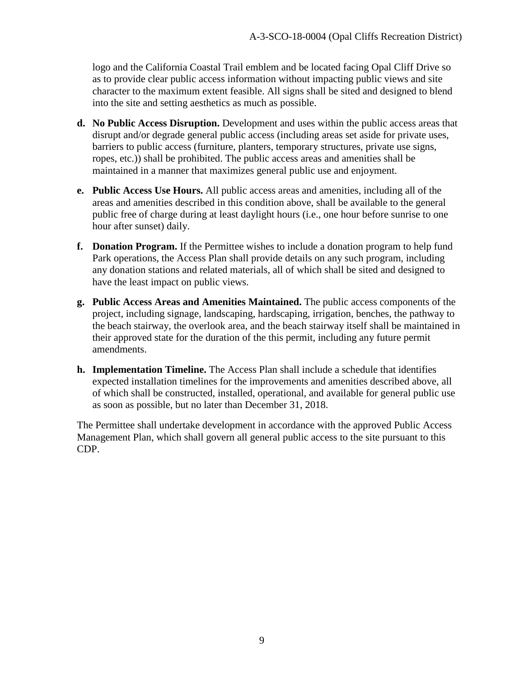logo and the California Coastal Trail emblem and be located facing Opal Cliff Drive so as to provide clear public access information without impacting public views and site character to the maximum extent feasible. All signs shall be sited and designed to blend into the site and setting aesthetics as much as possible.

- **d. No Public Access Disruption.** Development and uses within the public access areas that disrupt and/or degrade general public access (including areas set aside for private uses, barriers to public access (furniture, planters, temporary structures, private use signs, ropes, etc.)) shall be prohibited. The public access areas and amenities shall be maintained in a manner that maximizes general public use and enjoyment.
- **e. Public Access Use Hours.** All public access areas and amenities, including all of the areas and amenities described in this condition above, shall be available to the general public free of charge during at least daylight hours (i.e., one hour before sunrise to one hour after sunset) daily.
- **f. Donation Program.** If the Permittee wishes to include a donation program to help fund Park operations, the Access Plan shall provide details on any such program, including any donation stations and related materials, all of which shall be sited and designed to have the least impact on public views.
- **g. Public Access Areas and Amenities Maintained.** The public access components of the project, including signage, landscaping, hardscaping, irrigation, benches, the pathway to the beach stairway, the overlook area, and the beach stairway itself shall be maintained in their approved state for the duration of the this permit, including any future permit amendments.
- **h. Implementation Timeline.** The Access Plan shall include a schedule that identifies expected installation timelines for the improvements and amenities described above, all of which shall be constructed, installed, operational, and available for general public use as soon as possible, but no later than December 31, 2018.

The Permittee shall undertake development in accordance with the approved Public Access Management Plan, which shall govern all general public access to the site pursuant to this CDP.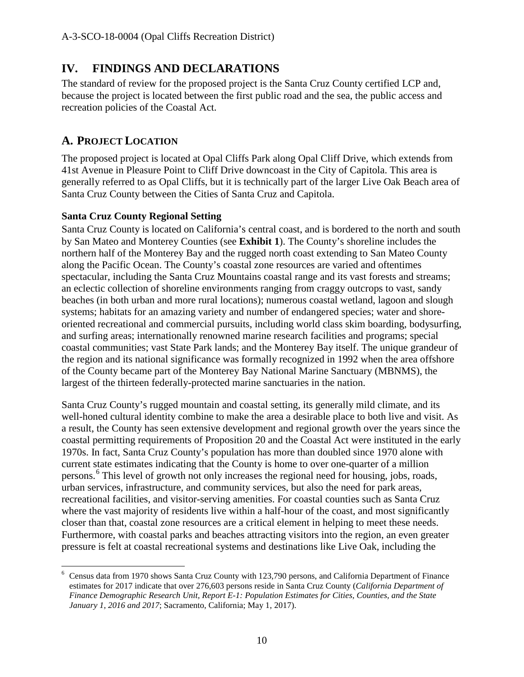# **IV. FINDINGS AND DECLARATIONS**

The standard of review for the proposed project is the Santa Cruz County certified LCP and, because the project is located between the first public road and the sea, the public access and recreation policies of the Coastal Act.

# **A. PROJECT LOCATION**

 $\overline{a}$ 

The proposed project is located at Opal Cliffs Park along Opal Cliff Drive, which extends from 41st Avenue in Pleasure Point to Cliff Drive downcoast in the City of Capitola. This area is generally referred to as Opal Cliffs, but it is technically part of the larger Live Oak Beach area of Santa Cruz County between the Cities of Santa Cruz and Capitola.

# **Santa Cruz County Regional Setting**

Santa Cruz County is located on California's central coast, and is bordered to the north and south by San Mateo and Monterey Counties (see **Exhibit 1**). The County's shoreline includes the northern half of the Monterey Bay and the rugged north coast extending to San Mateo County along the Pacific Ocean. The County's coastal zone resources are varied and oftentimes spectacular, including the Santa Cruz Mountains coastal range and its vast forests and streams; an eclectic collection of shoreline environments ranging from craggy outcrops to vast, sandy beaches (in both urban and more rural locations); numerous coastal wetland, lagoon and slough systems; habitats for an amazing variety and number of endangered species; water and shoreoriented recreational and commercial pursuits, including world class skim boarding, bodysurfing, and surfing areas; internationally renowned marine research facilities and programs; special coastal communities; vast State Park lands; and the Monterey Bay itself. The unique grandeur of the region and its national significance was formally recognized in 1992 when the area offshore of the County became part of the Monterey Bay National Marine Sanctuary (MBNMS), the largest of the thirteen federally-protected marine sanctuaries in the nation.

Santa Cruz County's rugged mountain and coastal setting, its generally mild climate, and its well-honed cultural identity combine to make the area a desirable place to both live and visit. As a result, the County has seen extensive development and regional growth over the years since the coastal permitting requirements of Proposition 20 and the Coastal Act were instituted in the early 1970s. In fact, Santa Cruz County's population has more than doubled since 1970 alone with current state estimates indicating that the County is home to over one-quarter of a million persons.<sup>[6](#page-9-0)</sup> This level of growth not only increases the regional need for housing, jobs, roads, urban services, infrastructure, and community services, but also the need for park areas, recreational facilities, and visitor-serving amenities. For coastal counties such as Santa Cruz where the vast majority of residents live within a half-hour of the coast, and most significantly closer than that, coastal zone resources are a critical element in helping to meet these needs. Furthermore, with coastal parks and beaches attracting visitors into the region, an even greater pressure is felt at coastal recreational systems and destinations like Live Oak, including the

<span id="page-9-0"></span><sup>6</sup> Census data from 1970 shows Santa Cruz County with 123,790 persons, and California Department of Finance estimates for 2017 indicate that over 276,603 persons reside in Santa Cruz County (*California Department of Finance Demographic Research Unit, Report E-1: Population Estimates for Cities, Counties, and the State January 1, 2016 and 2017*; Sacramento, California; May 1, 2017).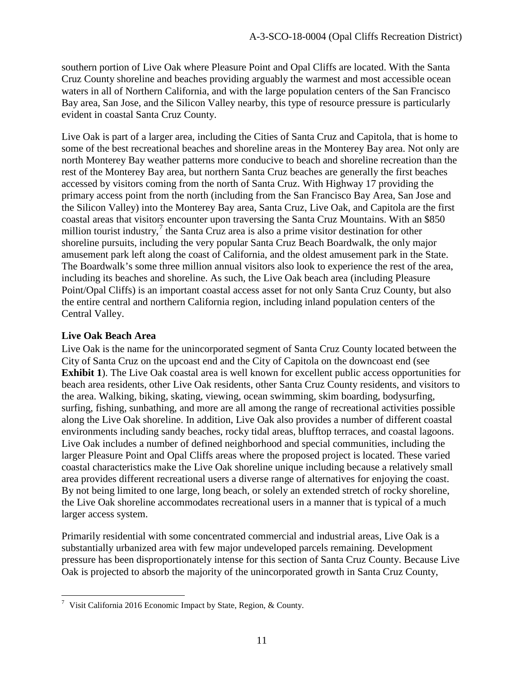southern portion of Live Oak where Pleasure Point and Opal Cliffs are located. With the Santa Cruz County shoreline and beaches providing arguably the warmest and most accessible ocean waters in all of Northern California, and with the large population centers of the San Francisco Bay area, San Jose, and the Silicon Valley nearby, this type of resource pressure is particularly evident in coastal Santa Cruz County.

Live Oak is part of a larger area, including the Cities of Santa Cruz and Capitola, that is home to some of the best recreational beaches and shoreline areas in the Monterey Bay area. Not only are north Monterey Bay weather patterns more conducive to beach and shoreline recreation than the rest of the Monterey Bay area, but northern Santa Cruz beaches are generally the first beaches accessed by visitors coming from the north of Santa Cruz. With Highway 17 providing the primary access point from the north (including from the San Francisco Bay Area, San Jose and the Silicon Valley) into the Monterey Bay area, Santa Cruz, Live Oak, and Capitola are the first coastal areas that visitors encounter upon traversing the Santa Cruz Mountains. With an \$850 million tourist industry, $\frac{7}{1}$  $\frac{7}{1}$  $\frac{7}{1}$  the Santa Cruz area is also a prime visitor destination for other shoreline pursuits, including the very popular Santa Cruz Beach Boardwalk, the only major amusement park left along the coast of California, and the oldest amusement park in the State. The Boardwalk's some three million annual visitors also look to experience the rest of the area, including its beaches and shoreline. As such, the Live Oak beach area (including Pleasure Point/Opal Cliffs) is an important coastal access asset for not only Santa Cruz County, but also the entire central and northern California region, including inland population centers of the Central Valley.

#### **Live Oak Beach Area**

 $\overline{a}$ 

Live Oak is the name for the unincorporated segment of Santa Cruz County located between the City of Santa Cruz on the upcoast end and the City of Capitola on the downcoast end (see **Exhibit 1**). The Live Oak coastal area is well known for excellent public access opportunities for beach area residents, other Live Oak residents, other Santa Cruz County residents, and visitors to the area. Walking, biking, skating, viewing, ocean swimming, skim boarding, bodysurfing, surfing, fishing, sunbathing, and more are all among the range of recreational activities possible along the Live Oak shoreline. In addition, Live Oak also provides a number of different coastal environments including sandy beaches, rocky tidal areas, blufftop terraces, and coastal lagoons. Live Oak includes a number of defined neighborhood and special communities, including the larger Pleasure Point and Opal Cliffs areas where the proposed project is located. These varied coastal characteristics make the Live Oak shoreline unique including because a relatively small area provides different recreational users a diverse range of alternatives for enjoying the coast. By not being limited to one large, long beach, or solely an extended stretch of rocky shoreline, the Live Oak shoreline accommodates recreational users in a manner that is typical of a much larger access system.

Primarily residential with some concentrated commercial and industrial areas, Live Oak is a substantially urbanized area with few major undeveloped parcels remaining. Development pressure has been disproportionately intense for this section of Santa Cruz County. Because Live Oak is projected to absorb the majority of the unincorporated growth in Santa Cruz County,

<span id="page-10-0"></span><sup>7</sup> Visit California 2016 Economic Impact by State, Region, & County.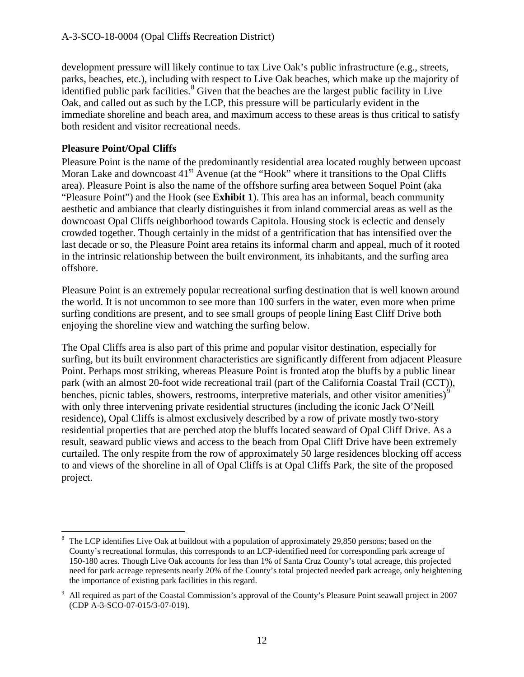development pressure will likely continue to tax Live Oak's public infrastructure (e.g., streets, parks, beaches, etc.), including with respect to Live Oak beaches, which make up the majority of  $\alpha$  identified public park facilities.<sup>[8](#page-11-0)</sup> Given that the beaches are the largest public facility in Live Oak, and called out as such by the LCP, this pressure will be particularly evident in the immediate shoreline and beach area, and maximum access to these areas is thus critical to satisfy both resident and visitor recreational needs.

### **Pleasure Point/Opal Cliffs**

Pleasure Point is the name of the predominantly residential area located roughly between upcoast Moran Lake and downcoast  $41<sup>st</sup>$  Avenue (at the "Hook" where it transitions to the Opal Cliffs area). Pleasure Point is also the name of the offshore surfing area between Soquel Point (aka "Pleasure Point") and the Hook (see **Exhibit 1**). This area has an informal, beach community aesthetic and ambiance that clearly distinguishes it from inland commercial areas as well as the downcoast Opal Cliffs neighborhood towards Capitola. Housing stock is eclectic and densely crowded together. Though certainly in the midst of a gentrification that has intensified over the last decade or so, the Pleasure Point area retains its informal charm and appeal, much of it rooted in the intrinsic relationship between the built environment, its inhabitants, and the surfing area offshore.

Pleasure Point is an extremely popular recreational surfing destination that is well known around the world. It is not uncommon to see more than 100 surfers in the water, even more when prime surfing conditions are present, and to see small groups of people lining East Cliff Drive both enjoying the shoreline view and watching the surfing below.

The Opal Cliffs area is also part of this prime and popular visitor destination, especially for surfing, but its built environment characteristics are significantly different from adjacent Pleasure Point. Perhaps most striking, whereas Pleasure Point is fronted atop the bluffs by a public linear park (with an almost 20-foot wide recreational trail (part of the California Coastal Trail (CCT)), benches, picnic tables, showers, restrooms, interpretive materials, and other visitor amenities)<sup>[9](#page-11-1)</sup> with only three intervening private residential structures (including the iconic Jack O'Neill residence), Opal Cliffs is almost exclusively described by a row of private mostly two-story residential properties that are perched atop the bluffs located seaward of Opal Cliff Drive. As a result, seaward public views and access to the beach from Opal Cliff Drive have been extremely curtailed. The only respite from the row of approximately 50 large residences blocking off access to and views of the shoreline in all of Opal Cliffs is at Opal Cliffs Park, the site of the proposed project.

<span id="page-11-0"></span> $\overline{a}$ <sup>8</sup> The LCP identifies Live Oak at buildout with a population of approximately 29,850 persons; based on the County's recreational formulas, this corresponds to an LCP-identified need for corresponding park acreage of 150-180 acres. Though Live Oak accounts for less than 1% of Santa Cruz County's total acreage, this projected need for park acreage represents nearly 20% of the County's total projected needed park acreage, only heightening the importance of existing park facilities in this regard.

<span id="page-11-1"></span><sup>9</sup> All required as part of the Coastal Commission's approval of the County's Pleasure Point seawall project in 2007 (CDP A-3-SCO-07-015/3-07-019).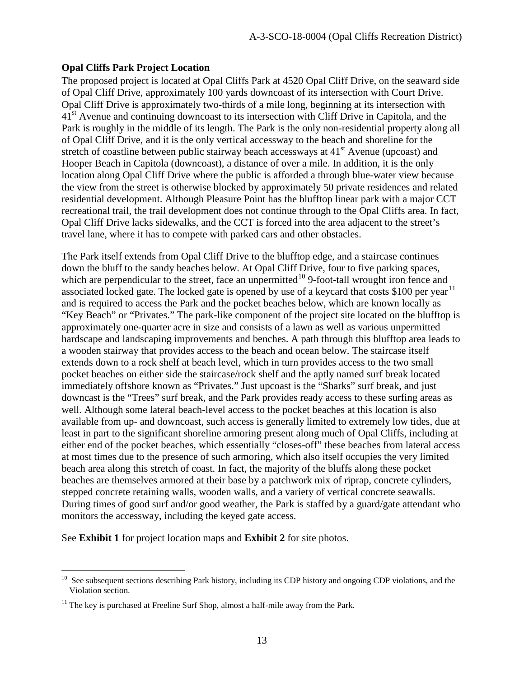#### **Opal Cliffs Park Project Location**

The proposed project is located at Opal Cliffs Park at 4520 Opal Cliff Drive, on the seaward side of Opal Cliff Drive, approximately 100 yards downcoast of its intersection with Court Drive. Opal Cliff Drive is approximately two-thirds of a mile long, beginning at its intersection with 41<sup>st</sup> Avenue and continuing downcoast to its intersection with Cliff Drive in Capitola, and the Park is roughly in the middle of its length. The Park is the only non-residential property along all of Opal Cliff Drive, and it is the only vertical accessway to the beach and shoreline for the stretch of coastline between public stairway beach accessways at  $41<sup>st</sup>$  Avenue (upcoast) and Hooper Beach in Capitola (downcoast), a distance of over a mile. In addition, it is the only location along Opal Cliff Drive where the public is afforded a through blue-water view because the view from the street is otherwise blocked by approximately 50 private residences and related residential development. Although Pleasure Point has the blufftop linear park with a major CCT recreational trail, the trail development does not continue through to the Opal Cliffs area. In fact, Opal Cliff Drive lacks sidewalks, and the CCT is forced into the area adjacent to the street's travel lane, where it has to compete with parked cars and other obstacles.

The Park itself extends from Opal Cliff Drive to the blufftop edge, and a staircase continues down the bluff to the sandy beaches below. At Opal Cliff Drive, four to five parking spaces, which are perpendicular to the street, face an unpermitted<sup>10</sup> 9-foot-tall wrought iron fence and associated locked gate. The locked gate is opened by use of a keycard that costs \$100 per year<sup>[11](#page-12-1)</sup> and is required to access the Park and the pocket beaches below, which are known locally as "Key Beach" or "Privates." The park-like component of the project site located on the blufftop is approximately one-quarter acre in size and consists of a lawn as well as various unpermitted hardscape and landscaping improvements and benches. A path through this blufftop area leads to a wooden stairway that provides access to the beach and ocean below. The staircase itself extends down to a rock shelf at beach level, which in turn provides access to the two small pocket beaches on either side the staircase/rock shelf and the aptly named surf break located immediately offshore known as "Privates." Just upcoast is the "Sharks" surf break, and just downcast is the "Trees" surf break, and the Park provides ready access to these surfing areas as well. Although some lateral beach-level access to the pocket beaches at this location is also available from up- and downcoast, such access is generally limited to extremely low tides, due at least in part to the significant shoreline armoring present along much of Opal Cliffs, including at either end of the pocket beaches, which essentially "closes-off" these beaches from lateral access at most times due to the presence of such armoring, which also itself occupies the very limited beach area along this stretch of coast. In fact, the majority of the bluffs along these pocket beaches are themselves armored at their base by a patchwork mix of riprap, concrete cylinders, stepped concrete retaining walls, wooden walls, and a variety of vertical concrete seawalls. During times of good surf and/or good weather, the Park is staffed by a guard/gate attendant who monitors the accessway, including the keyed gate access.

See **Exhibit 1** for project location maps and **Exhibit 2** for site photos.

<span id="page-12-0"></span><sup>&</sup>lt;sup>10</sup> See subsequent sections describing Park history, including its CDP history and ongoing CDP violations, and the Violation section.

<span id="page-12-1"></span> $11$  The key is purchased at Freeline Surf Shop, almost a half-mile away from the Park.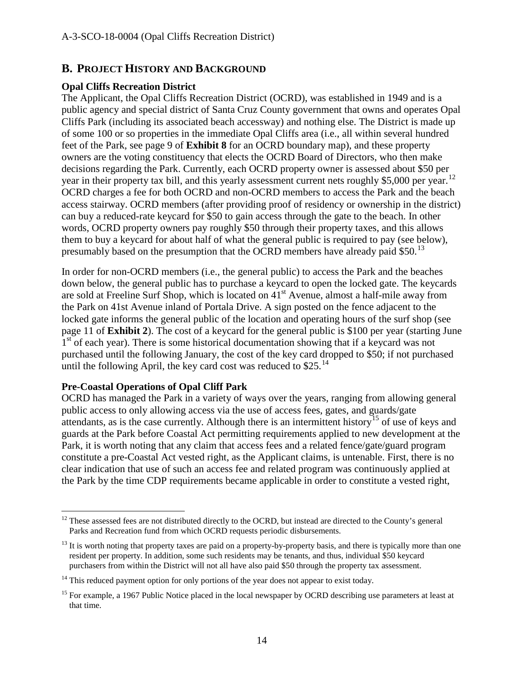# **B. PROJECT HISTORY AND BACKGROUND**

#### **Opal Cliffs Recreation District**

The Applicant, the Opal Cliffs Recreation District (OCRD), was established in 1949 and is a public agency and special district of Santa Cruz County government that owns and operates Opal Cliffs Park (including its associated beach accessway) and nothing else. The District is made up of some 100 or so properties in the immediate Opal Cliffs area (i.e., all within several hundred feet of the Park, see page 9 of **Exhibit 8** for an OCRD boundary map), and these property owners are the voting constituency that elects the OCRD Board of Directors, who then make decisions regarding the Park. Currently, each OCRD property owner is assessed about \$50 per year in their property tax bill, and this yearly assessment current nets roughly \$5,000 per year.<sup>[12](#page-13-0)</sup> OCRD charges a fee for both OCRD and non-OCRD members to access the Park and the beach access stairway. OCRD members (after providing proof of residency or ownership in the district) can buy a reduced-rate keycard for \$50 to gain access through the gate to the beach. In other words, OCRD property owners pay roughly \$50 through their property taxes, and this allows them to buy a keycard for about half of what the general public is required to pay (see below), presumably based on the presumption that the OCRD members have already paid \$50.<sup>[13](#page-13-1)</sup>

In order for non-OCRD members (i.e., the general public) to access the Park and the beaches down below, the general public has to purchase a keycard to open the locked gate. The keycards are sold at Freeline Surf Shop, which is located on  $41<sup>st</sup>$  Avenue, almost a half-mile away from the Park on 41st Avenue inland of Portala Drive. A sign posted on the fence adjacent to the locked gate informs the general public of the location and operating hours of the surf shop (see page 11 of **Exhibit 2**). The cost of a keycard for the general public is \$100 per year (starting June 1<sup>st</sup> of each year). There is some historical documentation showing that if a keycard was not purchased until the following January, the cost of the key card dropped to \$50; if not purchased until the following April, the key card cost was reduced to  $$25$ .<sup>[14](#page-13-2)</sup>

#### **Pre-Coastal Operations of Opal Cliff Park**

OCRD has managed the Park in a variety of ways over the years, ranging from allowing general public access to only allowing access via the use of access fees, gates, and guards/gate attendants, as is the case currently. Although there is an intermittent history<sup>[15](#page-13-3)</sup> of use of keys and guards at the Park before Coastal Act permitting requirements applied to new development at the Park, it is worth noting that any claim that access fees and a related fence/gate/guard program constitute a pre-Coastal Act vested right, as the Applicant claims, is untenable. First, there is no clear indication that use of such an access fee and related program was continuously applied at the Park by the time CDP requirements became applicable in order to constitute a vested right,

<span id="page-13-0"></span> $\overline{a}$  $12$  These assessed fees are not distributed directly to the OCRD, but instead are directed to the County's general Parks and Recreation fund from which OCRD requests periodic disbursements.

<span id="page-13-1"></span> $^{13}$  It is worth noting that property taxes are paid on a property-by-property basis, and there is typically more than one resident per property. In addition, some such residents may be tenants, and thus, individual \$50 keycard purchasers from within the District will not all have also paid \$50 through the property tax assessment.

<span id="page-13-2"></span> $14$  This reduced payment option for only portions of the year does not appear to exist today.

<span id="page-13-3"></span><sup>&</sup>lt;sup>15</sup> For example, a 1967 Public Notice placed in the local newspaper by OCRD describing use parameters at least at that time.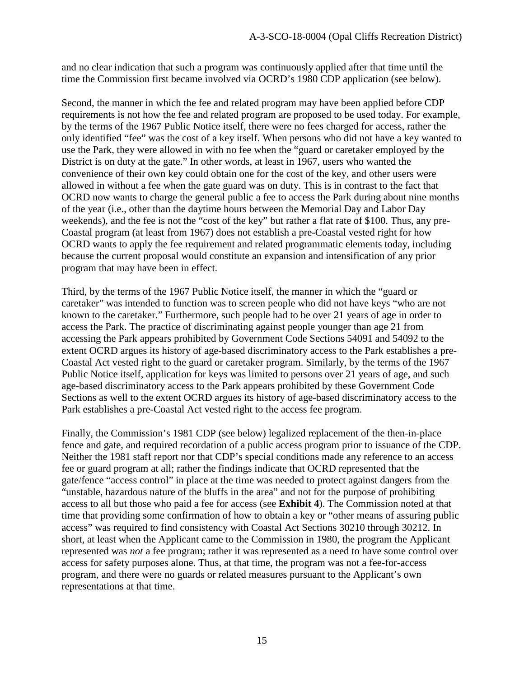and no clear indication that such a program was continuously applied after that time until the time the Commission first became involved via OCRD's 1980 CDP application (see below).

Second, the manner in which the fee and related program may have been applied before CDP requirements is not how the fee and related program are proposed to be used today. For example, by the terms of the 1967 Public Notice itself, there were no fees charged for access, rather the only identified "fee" was the cost of a key itself. When persons who did not have a key wanted to use the Park, they were allowed in with no fee when the "guard or caretaker employed by the District is on duty at the gate." In other words, at least in 1967, users who wanted the convenience of their own key could obtain one for the cost of the key, and other users were allowed in without a fee when the gate guard was on duty. This is in contrast to the fact that OCRD now wants to charge the general public a fee to access the Park during about nine months of the year (i.e., other than the daytime hours between the Memorial Day and Labor Day weekends), and the fee is not the "cost of the key" but rather a flat rate of \$100. Thus, any pre-Coastal program (at least from 1967) does not establish a pre-Coastal vested right for how OCRD wants to apply the fee requirement and related programmatic elements today, including because the current proposal would constitute an expansion and intensification of any prior program that may have been in effect.

Third, by the terms of the 1967 Public Notice itself, the manner in which the "guard or caretaker" was intended to function was to screen people who did not have keys "who are not known to the caretaker." Furthermore, such people had to be over 21 years of age in order to access the Park. The practice of discriminating against people younger than age 21 from accessing the Park appears prohibited by Government Code Sections 54091 and 54092 to the extent OCRD argues its history of age-based discriminatory access to the Park establishes a pre-Coastal Act vested right to the guard or caretaker program. Similarly, by the terms of the 1967 Public Notice itself, application for keys was limited to persons over 21 years of age, and such age-based discriminatory access to the Park appears prohibited by these Government Code Sections as well to the extent OCRD argues its history of age-based discriminatory access to the Park establishes a pre-Coastal Act vested right to the access fee program.

Finally, the Commission's 1981 CDP (see below) legalized replacement of the then-in-place fence and gate, and required recordation of a public access program prior to issuance of the CDP. Neither the 1981 staff report nor that CDP's special conditions made any reference to an access fee or guard program at all; rather the findings indicate that OCRD represented that the gate/fence "access control" in place at the time was needed to protect against dangers from the "unstable, hazardous nature of the bluffs in the area" and not for the purpose of prohibiting access to all but those who paid a fee for access (see **Exhibit 4**). The Commission noted at that time that providing some confirmation of how to obtain a key or "other means of assuring public access" was required to find consistency with Coastal Act Sections 30210 through 30212. In short, at least when the Applicant came to the Commission in 1980, the program the Applicant represented was *not* a fee program; rather it was represented as a need to have some control over access for safety purposes alone. Thus, at that time, the program was not a fee-for-access program, and there were no guards or related measures pursuant to the Applicant's own representations at that time.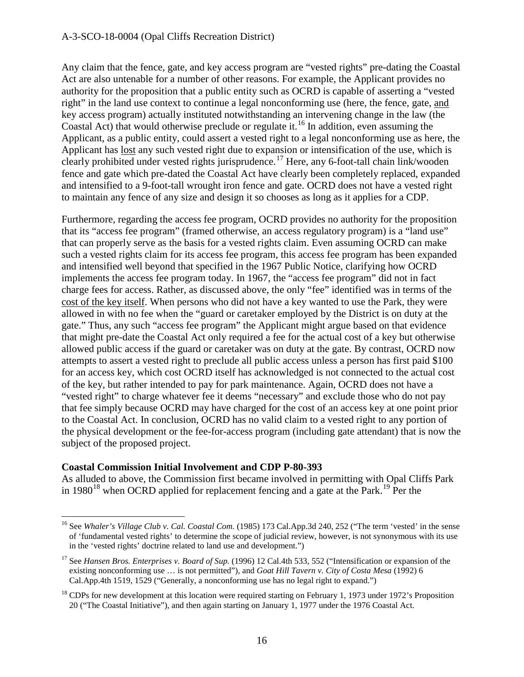#### A-3-SCO-18-0004 (Opal Cliffs Recreation District)

Any claim that the fence, gate, and key access program are "vested rights" pre-dating the Coastal Act are also untenable for a number of other reasons. For example, the Applicant provides no authority for the proposition that a public entity such as OCRD is capable of asserting a "vested right" in the land use context to continue a legal nonconforming use (here, the fence, gate, and key access program) actually instituted notwithstanding an intervening change in the law (the Coastal Act) that would otherwise preclude or regulate it.<sup>[16](#page-15-0)</sup> In addition, even assuming the Applicant, as a public entity, could assert a vested right to a legal nonconforming use as here, the Applicant has lost any such vested right due to expansion or intensification of the use, which is clearly prohibited under vested rights jurisprudence.<sup>[17](#page-15-1)</sup> Here, any 6-foot-tall chain link/wooden fence and gate which pre-dated the Coastal Act have clearly been completely replaced, expanded and intensified to a 9-foot-tall wrought iron fence and gate. OCRD does not have a vested right to maintain any fence of any size and design it so chooses as long as it applies for a CDP.

Furthermore, regarding the access fee program, OCRD provides no authority for the proposition that its "access fee program" (framed otherwise, an access regulatory program) is a "land use" that can properly serve as the basis for a vested rights claim. Even assuming OCRD can make such a vested rights claim for its access fee program, this access fee program has been expanded and intensified well beyond that specified in the 1967 Public Notice, clarifying how OCRD implements the access fee program today. In 1967, the "access fee program" did not in fact charge fees for access. Rather, as discussed above, the only "fee" identified was in terms of the cost of the key itself. When persons who did not have a key wanted to use the Park, they were allowed in with no fee when the "guard or caretaker employed by the District is on duty at the gate." Thus, any such "access fee program" the Applicant might argue based on that evidence that might pre-date the Coastal Act only required a fee for the actual cost of a key but otherwise allowed public access if the guard or caretaker was on duty at the gate. By contrast, OCRD now attempts to assert a vested right to preclude all public access unless a person has first paid \$100 for an access key, which cost OCRD itself has acknowledged is not connected to the actual cost of the key, but rather intended to pay for park maintenance. Again, OCRD does not have a "vested right" to charge whatever fee it deems "necessary" and exclude those who do not pay that fee simply because OCRD may have charged for the cost of an access key at one point prior to the Coastal Act. In conclusion, OCRD has no valid claim to a vested right to any portion of the physical development or the fee-for-access program (including gate attendant) that is now the subject of the proposed project.

#### <span id="page-15-3"></span>**Coastal Commission Initial Involvement and CDP P-80-393**

 $\overline{a}$ 

As alluded to above, the Commission first became involved in permitting with Opal Cliffs Park in 1980<sup>[18](#page-15-2)</sup> when OCRD applied for replacement fencing and a gate at the Park.<sup>19</sup> Per the

<span id="page-15-0"></span><sup>&</sup>lt;sup>16</sup> See *Whaler's Village Club v. Cal. Coastal Com.* (1985) 173 Cal.App.3d 240, 252 ("The term 'vested' in the sense of 'fundamental vested rights' to determine the scope of judicial review, however, is not synonymous with its use in the 'vested rights' doctrine related to land use and development.")

<span id="page-15-1"></span><sup>17</sup> See *Hansen Bros. Enterprises v. Board of Sup.* (1996) 12 Cal.4th 533, 552 ("Intensification or expansion of the existing nonconforming use … is not permitted"), and *Goat Hill Tavern v. City of Costa Mesa* (1992) 6 Cal.App.4th 1519, 1529 ("Generally, a nonconforming use has no legal right to expand.")

<span id="page-15-2"></span> $18$  CDPs for new development at this location were required starting on February 1, 1973 under 1972's Proposition 20 ("The Coastal Initiative"), and then again starting on January 1, 1977 under the 1976 Coastal Act.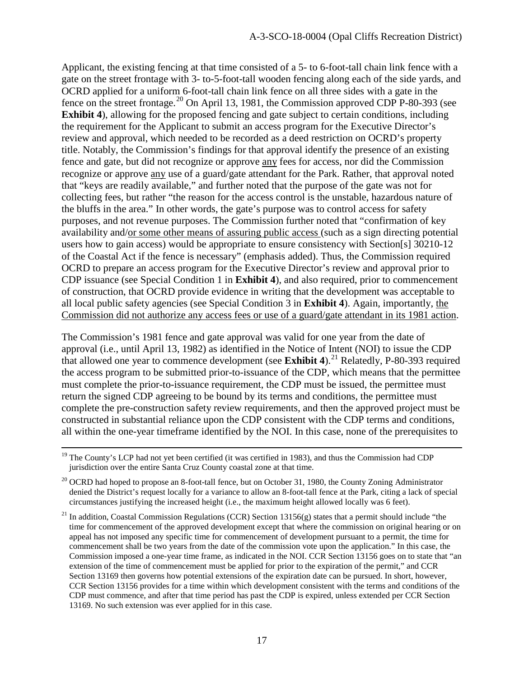Applicant, the existing fencing at that time consisted of a 5- to 6-foot-tall chain link fence with a gate on the street frontage with 3- to-5-foot-tall wooden fencing along each of the side yards, and OCRD applied for a uniform 6-foot-tall chain link fence on all three sides with a gate in the fence on the street frontage.<sup>[20](#page-16-0)</sup> On April 13, 1981, the Commission approved CDP P-80-393 (see **Exhibit 4**), allowing for the proposed fencing and gate subject to certain conditions, including the requirement for the Applicant to submit an access program for the Executive Director's review and approval, which needed to be recorded as a deed restriction on OCRD's property title. Notably, the Commission's findings for that approval identify the presence of an existing fence and gate, but did not recognize or approve any fees for access, nor did the Commission recognize or approve any use of a guard/gate attendant for the Park. Rather, that approval noted that "keys are readily available," and further noted that the purpose of the gate was not for collecting fees, but rather "the reason for the access control is the unstable, hazardous nature of the bluffs in the area." In other words, the gate's purpose was to control access for safety purposes, and not revenue purposes. The Commission further noted that "confirmation of key availability and/or some other means of assuring public access (such as a sign directing potential users how to gain access) would be appropriate to ensure consistency with Section[s] 30210-12 of the Coastal Act if the fence is necessary" (emphasis added). Thus, the Commission required OCRD to prepare an access program for the Executive Director's review and approval prior to CDP issuance (see Special Condition 1 in **Exhibit 4**), and also required, prior to commencement of construction, that OCRD provide evidence in writing that the development was acceptable to all local public safety agencies (see Special Condition 3 in **Exhibit 4**). Again, importantly, the Commission did not authorize any access fees or use of a guard/gate attendant in its 1981 action.

The Commission's 1981 fence and gate approval was valid for one year from the date of approval (i.e., until April 13, 1982) as identified in the Notice of Intent (NOI) to issue the CDP that allowed one year to commence development (see **Exhibit 4**).<sup>[21](#page-16-1)</sup> Relatedly, P-80-393 required the access program to be submitted prior-to-issuance of the CDP, which means that the permittee must complete the prior-to-issuance requirement, the CDP must be issued, the permittee must return the signed CDP agreeing to be bound by its terms and conditions, the permittee must complete the pre-construction safety review requirements, and then the approved project must be constructed in substantial reliance upon the CDP consistent with the CDP terms and conditions, all within the one-year timeframe identified by the NOI. In this case, none of the prerequisites to

<sup>&</sup>lt;sup>19</sup> The County's LCP had not yet been certified (it was certified in 1983), and thus the Commission had CDP jurisdiction over the entire Santa Cruz County coastal zone at that time.

<span id="page-16-0"></span> $20$  OCRD had hoped to propose an 8-foot-tall fence, but on October 31, 1980, the County Zoning Administrator denied the District's request locally for a variance to allow an 8-foot-tall fence at the Park, citing a lack of special circumstances justifying the increased height (i.e., the maximum height allowed locally was 6 feet).

<span id="page-16-1"></span><sup>&</sup>lt;sup>21</sup> In addition, Coastal Commission Regulations (CCR) Section  $13156(g)$  states that a permit should include "the time for commencement of the approved development except that where the commission on original hearing or on appeal has not imposed any specific time for commencement of development pursuant to a permit, the time for commencement shall be two years from the date of the commission vote upon the application." In this case, the Commission imposed a one-year time frame, as indicated in the NOI. CCR Section 13156 goes on to state that "an extension of the time of commencement must be applied for prior to the expiration of the permit," and CCR Section 13169 then governs how potential extensions of the expiration date can be pursued. In short, however, CCR Section 13156 provides for a time within which development consistent with the terms and conditions of the CDP must commence, and after that time period has past the CDP is expired, unless extended per CCR Section 13169. No such extension was ever applied for in this case.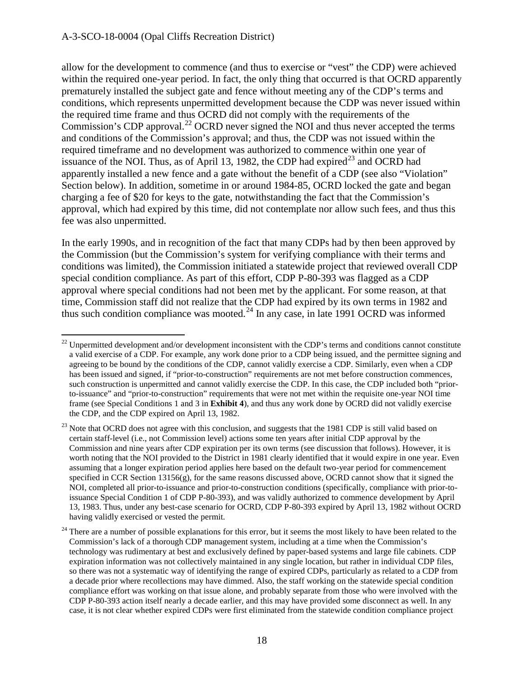allow for the development to commence (and thus to exercise or "vest" the CDP) were achieved within the required one-year period. In fact, the only thing that occurred is that OCRD apparently prematurely installed the subject gate and fence without meeting any of the CDP's terms and conditions, which represents unpermitted development because the CDP was never issued within the required time frame and thus OCRD did not comply with the requirements of the Commission's CDP approval.<sup>[22](#page-17-0)</sup> OCRD never signed the NOI and thus never accepted the terms and conditions of the Commission's approval; and thus, the CDP was not issued within the required timeframe and no development was authorized to commence within one year of issuance of the NOI. Thus, as of April 13, 1982, the CDP had expired<sup>23</sup> and OCRD had apparently installed a new fence and a gate without the benefit of a CDP (see also "Violation" Section below). In addition, sometime in or around 1984-85, OCRD locked the gate and began charging a fee of \$20 for keys to the gate, notwithstanding the fact that the Commission's approval, which had expired by this time, did not contemplate nor allow such fees, and thus this fee was also unpermitted.

In the early 1990s, and in recognition of the fact that many CDPs had by then been approved by the Commission (but the Commission's system for verifying compliance with their terms and conditions was limited), the Commission initiated a statewide project that reviewed overall CDP special condition compliance. As part of this effort, CDP P-80-393 was flagged as a CDP approval where special conditions had not been met by the applicant. For some reason, at that time, Commission staff did not realize that the CDP had expired by its own terms in 1982 and thus such condition compliance was mooted.<sup>[24](#page-17-2)</sup> In any case, in late 1991 OCRD was informed

<span id="page-17-0"></span> $\overline{a}$  $22$  Unpermitted development and/or development inconsistent with the CDP's terms and conditions cannot constitute a valid exercise of a CDP. For example, any work done prior to a CDP being issued, and the permittee signing and agreeing to be bound by the conditions of the CDP, cannot validly exercise a CDP. Similarly, even when a CDP has been issued and signed, if "prior-to-construction" requirements are not met before construction commences, such construction is unpermitted and cannot validly exercise the CDP. In this case, the CDP included both "priorto-issuance" and "prior-to-construction" requirements that were not met within the requisite one-year NOI time frame (see Special Conditions 1 and 3 in **Exhibit 4**), and thus any work done by OCRD did not validly exercise the CDP, and the CDP expired on April 13, 1982.

<span id="page-17-1"></span><sup>&</sup>lt;sup>23</sup> Note that OCRD does not agree with this conclusion, and suggests that the 1981 CDP is still valid based on certain staff-level (i.e., not Commission level) actions some ten years after initial CDP approval by the Commission and nine years after CDP expiration per its own terms (see discussion that follows). However, it is worth noting that the NOI provided to the District in 1981 clearly identified that it would expire in one year. Even assuming that a longer expiration period applies here based on the default two-year period for commencement specified in CCR Section 13156(g), for the same reasons discussed above, OCRD cannot show that it signed the NOI, completed all prior-to-issuance and prior-to-construction conditions (specifically, compliance with prior-toissuance Special Condition 1 of CDP P-80-393), and was validly authorized to commence development by April 13, 1983. Thus, under any best-case scenario for OCRD, CDP P-80-393 expired by April 13, 1982 without OCRD having validly exercised or vested the permit.

<span id="page-17-2"></span> $24$  There are a number of possible explanations for this error, but it seems the most likely to have been related to the Commission's lack of a thorough CDP management system, including at a time when the Commission's technology was rudimentary at best and exclusively defined by paper-based systems and large file cabinets. CDP expiration information was not collectively maintained in any single location, but rather in individual CDP files, so there was not a systematic way of identifying the range of expired CDPs, particularly as related to a CDP from a decade prior where recollections may have dimmed. Also, the staff working on the statewide special condition compliance effort was working on that issue alone, and probably separate from those who were involved with the CDP P-80-393 action itself nearly a decade earlier, and this may have provided some disconnect as well. In any case, it is not clear whether expired CDPs were first eliminated from the statewide condition compliance project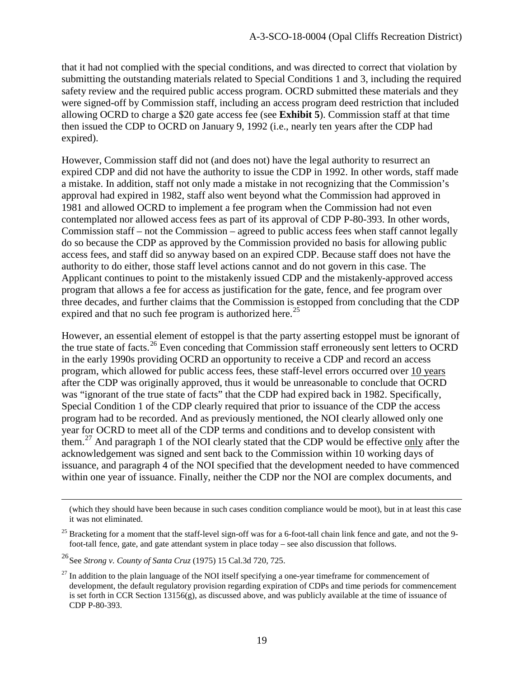that it had not complied with the special conditions, and was directed to correct that violation by submitting the outstanding materials related to Special Conditions 1 and 3, including the required safety review and the required public access program. OCRD submitted these materials and they were signed-off by Commission staff, including an access program deed restriction that included allowing OCRD to charge a \$20 gate access fee (see **Exhibit 5**). Commission staff at that time then issued the CDP to OCRD on January 9, 1992 (i.e., nearly ten years after the CDP had expired).

However, Commission staff did not (and does not) have the legal authority to resurrect an expired CDP and did not have the authority to issue the CDP in 1992. In other words, staff made a mistake. In addition, staff not only made a mistake in not recognizing that the Commission's approval had expired in 1982, staff also went beyond what the Commission had approved in 1981 and allowed OCRD to implement a fee program when the Commission had not even contemplated nor allowed access fees as part of its approval of CDP P-80-393. In other words, Commission staff – not the Commission – agreed to public access fees when staff cannot legally do so because the CDP as approved by the Commission provided no basis for allowing public access fees, and staff did so anyway based on an expired CDP. Because staff does not have the authority to do either, those staff level actions cannot and do not govern in this case. The Applicant continues to point to the mistakenly issued CDP and the mistakenly-approved access program that allows a fee for access as justification for the gate, fence, and fee program over three decades, and further claims that the Commission is estopped from concluding that the CDP expired and that no such fee program is authorized here.<sup>25</sup>

However, an essential element of estoppel is that the party asserting estoppel must be ignorant of the true state of facts.[26](#page-18-1) Even conceding that Commission staff erroneously sent letters to OCRD in the early 1990s providing OCRD an opportunity to receive a CDP and record an access program, which allowed for public access fees, these staff-level errors occurred over 10 years after the CDP was originally approved, thus it would be unreasonable to conclude that OCRD was "ignorant of the true state of facts" that the CDP had expired back in 1982. Specifically, Special Condition 1 of the CDP clearly required that prior to issuance of the CDP the access program had to be recorded. And as previously mentioned, the NOI clearly allowed only one year for OCRD to meet all of the CDP terms and conditions and to develop consistent with them.<sup>27</sup> And paragraph 1 of the NOI clearly stated that the CDP would be effective only after the acknowledgement was signed and sent back to the Commission within 10 working days of issuance, and paragraph 4 of the NOI specified that the development needed to have commenced within one year of issuance. Finally, neither the CDP nor the NOI are complex documents, and

<sup>(</sup>which they should have been because in such cases condition compliance would be moot), but in at least this case it was not eliminated.

<span id="page-18-0"></span> $25$  Bracketing for a moment that the staff-level sign-off was for a 6-foot-tall chain link fence and gate, and not the 9foot-tall fence, gate, and gate attendant system in place today – see also discussion that follows.

<span id="page-18-1"></span><sup>26</sup> See *Strong v. County of Santa Cruz* (1975) 15 Cal.3d 720, 725.

<span id="page-18-2"></span> $27$  In addition to the plain language of the NOI itself specifying a one-year timeframe for commencement of development, the default regulatory provision regarding expiration of CDPs and time periods for commencement is set forth in CCR Section  $13156(g)$ , as discussed above, and was publicly available at the time of issuance of CDP P-80-393.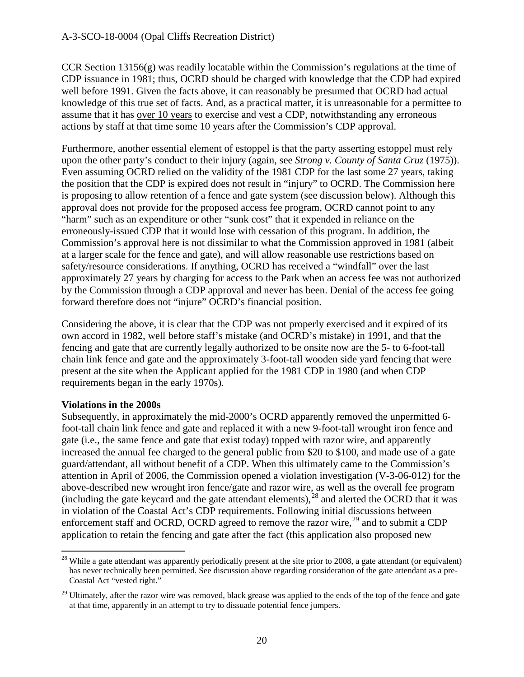CCR Section 13156(g) was readily locatable within the Commission's regulations at the time of CDP issuance in 1981; thus, OCRD should be charged with knowledge that the CDP had expired well before 1991. Given the facts above, it can reasonably be presumed that OCRD had actual knowledge of this true set of facts. And, as a practical matter, it is unreasonable for a permittee to assume that it has over 10 years to exercise and vest a CDP, notwithstanding any erroneous actions by staff at that time some 10 years after the Commission's CDP approval.

Furthermore, another essential element of estoppel is that the party asserting estoppel must rely upon the other party's conduct to their injury (again, see *Strong v. County of Santa Cruz* (1975)). Even assuming OCRD relied on the validity of the 1981 CDP for the last some 27 years, taking the position that the CDP is expired does not result in "injury" to OCRD. The Commission here is proposing to allow retention of a fence and gate system (see discussion below). Although this approval does not provide for the proposed access fee program, OCRD cannot point to any "harm" such as an expenditure or other "sunk cost" that it expended in reliance on the erroneously-issued CDP that it would lose with cessation of this program. In addition, the Commission's approval here is not dissimilar to what the Commission approved in 1981 (albeit at a larger scale for the fence and gate), and will allow reasonable use restrictions based on safety/resource considerations. If anything, OCRD has received a "windfall" over the last approximately 27 years by charging for access to the Park when an access fee was not authorized by the Commission through a CDP approval and never has been. Denial of the access fee going forward therefore does not "injure" OCRD's financial position.

Considering the above, it is clear that the CDP was not properly exercised and it expired of its own accord in 1982, well before staff's mistake (and OCRD's mistake) in 1991, and that the fencing and gate that are currently legally authorized to be onsite now are the 5- to 6-foot-tall chain link fence and gate and the approximately 3-foot-tall wooden side yard fencing that were present at the site when the Applicant applied for the 1981 CDP in 1980 (and when CDP requirements began in the early 1970s).

#### **Violations in the 2000s**

Subsequently, in approximately the mid-2000's OCRD apparently removed the unpermitted 6 foot-tall chain link fence and gate and replaced it with a new 9-foot-tall wrought iron fence and gate (i.e., the same fence and gate that exist today) topped with razor wire, and apparently increased the annual fee charged to the general public from \$20 to \$100, and made use of a gate guard/attendant, all without benefit of a CDP. When this ultimately came to the Commission's attention in April of 2006, the Commission opened a violation investigation (V-3-06-012) for the above-described new wrought iron fence/gate and razor wire, as well as the overall fee program (including the gate keycard and the gate attendant elements),  $28$  and alerted the OCRD that it was in violation of the Coastal Act's CDP requirements. Following initial discussions between enforcement staff and OCRD, OCRD agreed to remove the razor wire,  $^{29}$  and to submit a CDP application to retain the fencing and gate after the fact (this application also proposed new

<span id="page-19-0"></span> $\overline{a}$  $28$  While a gate attendant was apparently periodically present at the site prior to 2008, a gate attendant (or equivalent) has never technically been permitted. See discussion above regarding consideration of the gate attendant as a pre-Coastal Act "vested right."

<span id="page-19-1"></span><sup>&</sup>lt;sup>29</sup> Ultimately, after the razor wire was removed, black grease was applied to the ends of the top of the fence and gate at that time, apparently in an attempt to try to dissuade potential fence jumpers.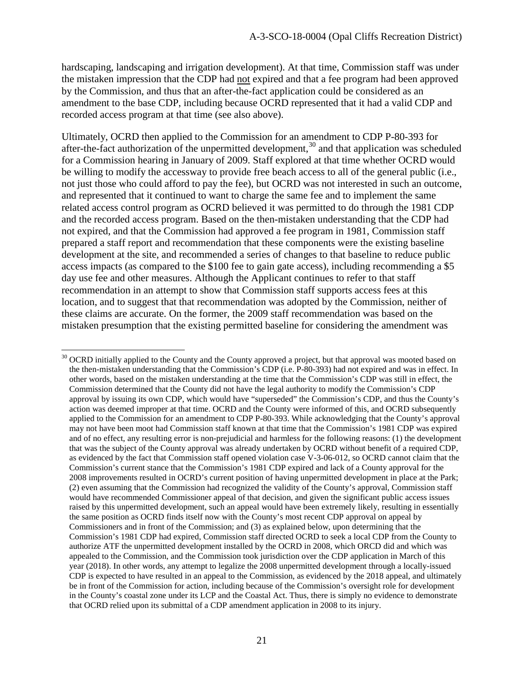hardscaping, landscaping and irrigation development). At that time, Commission staff was under the mistaken impression that the CDP had not expired and that a fee program had been approved by the Commission, and thus that an after-the-fact application could be considered as an amendment to the base CDP, including because OCRD represented that it had a valid CDP and recorded access program at that time (see also above).

Ultimately, OCRD then applied to the Commission for an amendment to CDP P-80-393 for after-the-fact authorization of the unpermitted development,<sup>[30](#page-20-0)</sup> and that application was scheduled for a Commission hearing in January of 2009. Staff explored at that time whether OCRD would be willing to modify the accessway to provide free beach access to all of the general public (i.e., not just those who could afford to pay the fee), but OCRD was not interested in such an outcome, and represented that it continued to want to charge the same fee and to implement the same related access control program as OCRD believed it was permitted to do through the 1981 CDP and the recorded access program. Based on the then-mistaken understanding that the CDP had not expired, and that the Commission had approved a fee program in 1981, Commission staff prepared a staff report and recommendation that these components were the existing baseline development at the site, and recommended a series of changes to that baseline to reduce public access impacts (as compared to the \$100 fee to gain gate access), including recommending a \$5 day use fee and other measures. Although the Applicant continues to refer to that staff recommendation in an attempt to show that Commission staff supports access fees at this location, and to suggest that that recommendation was adopted by the Commission, neither of these claims are accurate. On the former, the 2009 staff recommendation was based on the mistaken presumption that the existing permitted baseline for considering the amendment was

<span id="page-20-0"></span> $\ddot{\phantom{a}}$  $30$  OCRD initially applied to the County and the County approved a project, but that approval was mooted based on the then-mistaken understanding that the Commission's CDP (i.e. P-80-393) had not expired and was in effect. In other words, based on the mistaken understanding at the time that the Commission's CDP was still in effect, the Commission determined that the County did not have the legal authority to modify the Commission's CDP approval by issuing its own CDP, which would have "superseded" the Commission's CDP, and thus the County's action was deemed improper at that time. OCRD and the County were informed of this, and OCRD subsequently applied to the Commission for an amendment to CDP P-80-393. While acknowledging that the County's approval may not have been moot had Commission staff known at that time that the Commission's 1981 CDP was expired and of no effect, any resulting error is non-prejudicial and harmless for the following reasons: (1) the development that was the subject of the County approval was already undertaken by OCRD without benefit of a required CDP, as evidenced by the fact that Commission staff opened violation case V-3-06-012, so OCRD cannot claim that the Commission's current stance that the Commission's 1981 CDP expired and lack of a County approval for the 2008 improvements resulted in OCRD's current position of having unpermitted development in place at the Park; (2) even assuming that the Commission had recognized the validity of the County's approval, Commission staff would have recommended Commissioner appeal of that decision, and given the significant public access issues raised by this unpermitted development, such an appeal would have been extremely likely, resulting in essentially the same position as OCRD finds itself now with the County's most recent CDP approval on appeal by Commissioners and in front of the Commission; and (3) as explained below, upon determining that the Commission's 1981 CDP had expired, Commission staff directed OCRD to seek a local CDP from the County to authorize ATF the unpermitted development installed by the OCRD in 2008, which ORCD did and which was appealed to the Commission, and the Commission took jurisdiction over the CDP application in March of this year (2018). In other words, any attempt to legalize the 2008 unpermitted development through a locally-issued CDP is expected to have resulted in an appeal to the Commission, as evidenced by the 2018 appeal, and ultimately be in front of the Commission for action, including because of the Commission's oversight role for development in the County's coastal zone under its LCP and the Coastal Act. Thus, there is simply no evidence to demonstrate that OCRD relied upon its submittal of a CDP amendment application in 2008 to its injury.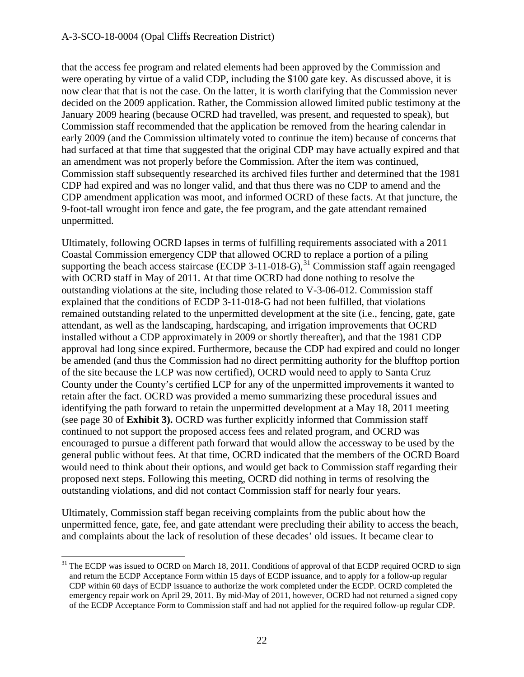that the access fee program and related elements had been approved by the Commission and were operating by virtue of a valid CDP, including the \$100 gate key. As discussed above, it is now clear that that is not the case. On the latter, it is worth clarifying that the Commission never decided on the 2009 application. Rather, the Commission allowed limited public testimony at the January 2009 hearing (because OCRD had travelled, was present, and requested to speak), but Commission staff recommended that the application be removed from the hearing calendar in early 2009 (and the Commission ultimately voted to continue the item) because of concerns that had surfaced at that time that suggested that the original CDP may have actually expired and that an amendment was not properly before the Commission. After the item was continued, Commission staff subsequently researched its archived files further and determined that the 1981 CDP had expired and was no longer valid, and that thus there was no CDP to amend and the CDP amendment application was moot, and informed OCRD of these facts. At that juncture, the 9-foot-tall wrought iron fence and gate, the fee program, and the gate attendant remained unpermitted.

Ultimately, following OCRD lapses in terms of fulfilling requirements associated with a 2011 Coastal Commission emergency CDP that allowed OCRD to replace a portion of a piling supporting the beach access staircase (ECDP 3-11-018-G),  $31$  Commission staff again reengaged with OCRD staff in May of 2011. At that time OCRD had done nothing to resolve the outstanding violations at the site, including those related to V-3-06-012. Commission staff explained that the conditions of ECDP 3-11-018-G had not been fulfilled, that violations remained outstanding related to the unpermitted development at the site (i.e., fencing, gate, gate attendant, as well as the landscaping, hardscaping, and irrigation improvements that OCRD installed without a CDP approximately in 2009 or shortly thereafter), and that the 1981 CDP approval had long since expired. Furthermore, because the CDP had expired and could no longer be amended (and thus the Commission had no direct permitting authority for the blufftop portion of the site because the LCP was now certified), OCRD would need to apply to Santa Cruz County under the County's certified LCP for any of the unpermitted improvements it wanted to retain after the fact. OCRD was provided a memo summarizing these procedural issues and identifying the path forward to retain the unpermitted development at a May 18, 2011 meeting (see page 30 of **Exhibit 3).** OCRD was further explicitly informed that Commission staff continued to not support the proposed access fees and related program, and OCRD was encouraged to pursue a different path forward that would allow the accessway to be used by the general public without fees. At that time, OCRD indicated that the members of the OCRD Board would need to think about their options, and would get back to Commission staff regarding their proposed next steps. Following this meeting, OCRD did nothing in terms of resolving the outstanding violations, and did not contact Commission staff for nearly four years.

Ultimately, Commission staff began receiving complaints from the public about how the unpermitted fence, gate, fee, and gate attendant were precluding their ability to access the beach, and complaints about the lack of resolution of these decades' old issues. It became clear to

<span id="page-21-0"></span><sup>&</sup>lt;sup>31</sup> The ECDP was issued to OCRD on March 18, 2011. Conditions of approval of that ECDP required OCRD to sign and return the ECDP Acceptance Form within 15 days of ECDP issuance, and to apply for a follow-up regular CDP within 60 days of ECDP issuance to authorize the work completed under the ECDP. OCRD completed the emergency repair work on April 29, 2011. By mid-May of 2011, however, OCRD had not returned a signed copy of the ECDP Acceptance Form to Commission staff and had not applied for the required follow-up regular CDP.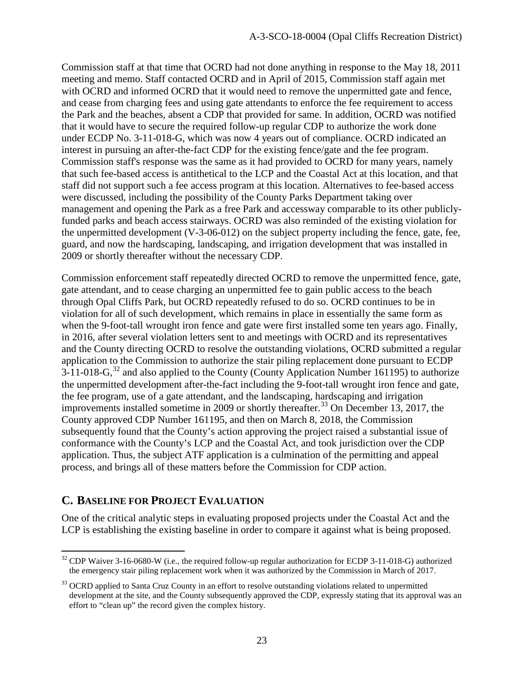Commission staff at that time that OCRD had not done anything in response to the May 18, 2011 meeting and memo. Staff contacted OCRD and in April of 2015, Commission staff again met with OCRD and informed OCRD that it would need to remove the unpermitted gate and fence, and cease from charging fees and using gate attendants to enforce the fee requirement to access the Park and the beaches, absent a CDP that provided for same. In addition, OCRD was notified that it would have to secure the required follow-up regular CDP to authorize the work done under ECDP No. 3-11-018-G, which was now 4 years out of compliance. OCRD indicated an interest in pursuing an after-the-fact CDP for the existing fence/gate and the fee program. Commission staff's response was the same as it had provided to OCRD for many years, namely that such fee-based access is antithetical to the LCP and the Coastal Act at this location, and that staff did not support such a fee access program at this location. Alternatives to fee-based access were discussed, including the possibility of the County Parks Department taking over management and opening the Park as a free Park and accessway comparable to its other publiclyfunded parks and beach access stairways. OCRD was also reminded of the existing violation for the unpermitted development (V-3-06-012) on the subject property including the fence, gate, fee, guard, and now the hardscaping, landscaping, and irrigation development that was installed in 2009 or shortly thereafter without the necessary CDP.

Commission enforcement staff repeatedly directed OCRD to remove the unpermitted fence, gate, gate attendant, and to cease charging an unpermitted fee to gain public access to the beach through Opal Cliffs Park, but OCRD repeatedly refused to do so. OCRD continues to be in violation for all of such development, which remains in place in essentially the same form as when the 9-foot-tall wrought iron fence and gate were first installed some ten years ago. Finally, in 2016, after several violation letters sent to and meetings with OCRD and its representatives and the County directing OCRD to resolve the outstanding violations, OCRD submitted a regular application to the Commission to authorize the stair piling replacement done pursuant to ECDP  $3-11-018-G$ ,  $32$  and also applied to the County (County Application Number 161195) to authorize the unpermitted development after-the-fact including the 9-foot-tall wrought iron fence and gate, the fee program, use of a gate attendant, and the landscaping, hardscaping and irrigation improvements installed sometime in 2009 or shortly thereafter.<sup>[33](#page-22-1)</sup> On December 13, 2017, the County approved CDP Number 161195, and then on March 8, 2018, the Commission subsequently found that the County's action approving the project raised a substantial issue of conformance with the County's LCP and the Coastal Act, and took jurisdiction over the CDP application. Thus, the subject ATF application is a culmination of the permitting and appeal process, and brings all of these matters before the Commission for CDP action.

# **C. BASELINE FOR PROJECT EVALUATION**

One of the critical analytic steps in evaluating proposed projects under the Coastal Act and the LCP is establishing the existing baseline in order to compare it against what is being proposed.

<span id="page-22-0"></span> $\overline{a}$ <sup>32</sup> CDP Waiver 3-16-0680-W (i.e., the required follow-up regular authorization for ECDP 3-11-018-G) authorized the emergency stair piling replacement work when it was authorized by the Commission in March of 2017.

<span id="page-22-1"></span><sup>&</sup>lt;sup>33</sup> OCRD applied to Santa Cruz County in an effort to resolve outstanding violations related to unpermitted development at the site, and the County subsequently approved the CDP, expressly stating that its approval was an effort to "clean up" the record given the complex history.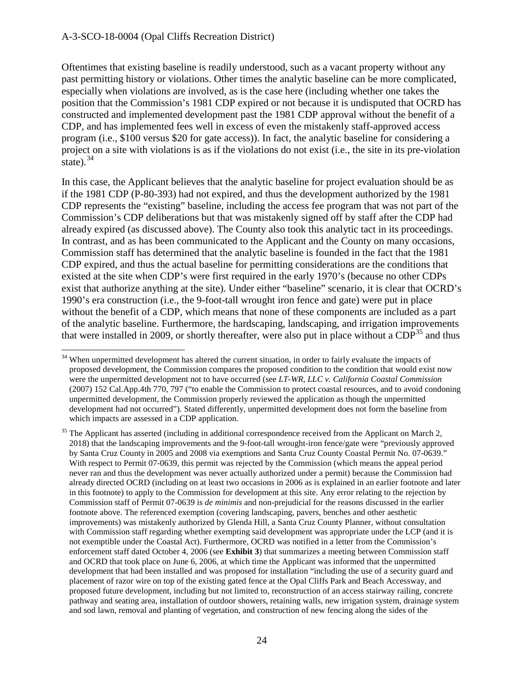Oftentimes that existing baseline is readily understood, such as a vacant property without any past permitting history or violations. Other times the analytic baseline can be more complicated, especially when violations are involved, as is the case here (including whether one takes the position that the Commission's 1981 CDP expired or not because it is undisputed that OCRD has constructed and implemented development past the 1981 CDP approval without the benefit of a CDP, and has implemented fees well in excess of even the mistakenly staff-approved access program (i.e., \$100 versus \$20 for gate access)). In fact, the analytic baseline for considering a project on a site with violations is as if the violations do not exist (i.e., the site in its pre-violation state).  $34$ 

In this case, the Applicant believes that the analytic baseline for project evaluation should be as if the 1981 CDP (P-80-393) had not expired, and thus the development authorized by the 1981 CDP represents the "existing" baseline, including the access fee program that was not part of the Commission's CDP deliberations but that was mistakenly signed off by staff after the CDP had already expired (as discussed above). The County also took this analytic tact in its proceedings. In contrast, and as has been communicated to the Applicant and the County on many occasions, Commission staff has determined that the analytic baseline is founded in the fact that the 1981 CDP expired, and thus the actual baseline for permitting considerations are the conditions that existed at the site when CDP's were first required in the early 1970's (because no other CDPs exist that authorize anything at the site). Under either "baseline" scenario, it is clear that OCRD's 1990's era construction (i.e., the 9-foot-tall wrought iron fence and gate) were put in place without the benefit of a CDP, which means that none of these components are included as a part of the analytic baseline. Furthermore, the hardscaping, landscaping, and irrigation improvements that were installed in 2009, or shortly thereafter, were also put in place without a  $CDP<sup>35</sup>$  $CDP<sup>35</sup>$  $CDP<sup>35</sup>$  and thus

<span id="page-23-0"></span> $\ddot{\phantom{a}}$ <sup>34</sup> When unpermitted development has altered the current situation, in order to fairly evaluate the impacts of proposed development, the Commission compares the proposed condition to the condition that would exist now were the unpermitted development not to have occurred (see *LT-WR, LLC v. California Coastal Commission* (2007) 152 Cal.App.4th 770, 797 ("to enable the Commission to protect coastal resources, and to avoid condoning unpermitted development, the Commission properly reviewed the application as though the unpermitted development had not occurred"). Stated differently, unpermitted development does not form the baseline from which impacts are assessed in a CDP application.

<span id="page-23-1"></span><sup>&</sup>lt;sup>35</sup> The Applicant has asserted (including in additional correspondence received from the Applicant on March 2, 2018) that the landscaping improvements and the 9-foot-tall wrought-iron fence/gate were "previously approved by Santa Cruz County in 2005 and 2008 via exemptions and Santa Cruz County Coastal Permit No. 07-0639." With respect to Permit 07-0639, this permit was rejected by the Commission (which means the appeal period never ran and thus the development was never actually authorized under a permit) because the Commission had already directed OCRD (including on at least two occasions in 2006 as is explained in an earlier footnote and later in this footnote) to apply to the Commission for development at this site. Any error relating to the rejection by Commission staff of Permit 07-0639 is *de minimis* and non-prejudicial for the reasons discussed in the earlier footnote above. The referenced exemption (covering landscaping, pavers, benches and other aesthetic improvements) was mistakenly authorized by Glenda Hill, a Santa Cruz County Planner, without consultation with Commission staff regarding whether exempting said development was appropriate under the LCP (and it is not exemptible under the Coastal Act). Furthermore, OCRD was notified in a letter from the Commission's enforcement staff dated October 4, 2006 (see **Exhibit 3**) that summarizes a meeting between Commission staff and OCRD that took place on June 6, 2006, at which time the Applicant was informed that the unpermitted development that had been installed and was proposed for installation "including the use of a security guard and placement of razor wire on top of the existing gated fence at the Opal Cliffs Park and Beach Accessway, and proposed future development, including but not limited to, reconstruction of an access stairway railing, concrete pathway and seating area, installation of outdoor showers, retaining walls, new irrigation system, drainage system and sod lawn, removal and planting of vegetation, and construction of new fencing along the sides of the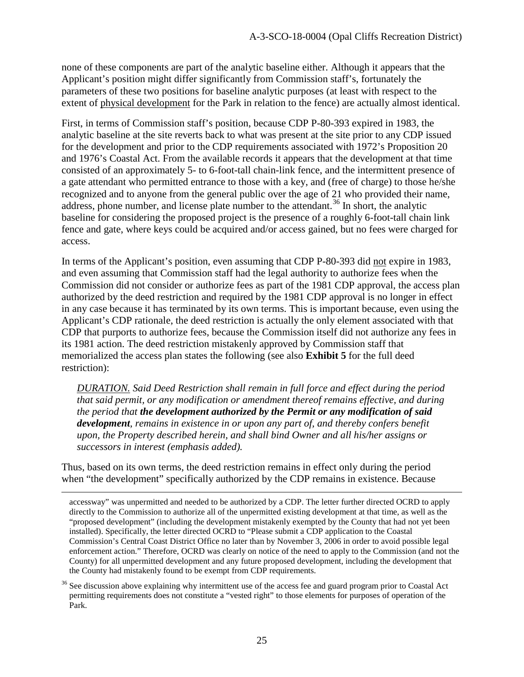none of these components are part of the analytic baseline either. Although it appears that the Applicant's position might differ significantly from Commission staff's, fortunately the parameters of these two positions for baseline analytic purposes (at least with respect to the extent of physical development for the Park in relation to the fence) are actually almost identical.

First, in terms of Commission staff's position, because CDP P-80-393 expired in 1983, the analytic baseline at the site reverts back to what was present at the site prior to any CDP issued for the development and prior to the CDP requirements associated with 1972's Proposition 20 and 1976's Coastal Act. From the available records it appears that the development at that time consisted of an approximately 5- to 6-foot-tall chain-link fence, and the intermittent presence of a gate attendant who permitted entrance to those with a key, and (free of charge) to those he/she recognized and to anyone from the general public over the age of 21 who provided their name, address, phone number, and license plate number to the attendant.<sup>[36](#page-24-0)</sup> In short, the analytic baseline for considering the proposed project is the presence of a roughly 6-foot-tall chain link fence and gate, where keys could be acquired and/or access gained, but no fees were charged for access.

In terms of the Applicant's position, even assuming that CDP P-80-393 did not expire in 1983, and even assuming that Commission staff had the legal authority to authorize fees when the Commission did not consider or authorize fees as part of the 1981 CDP approval, the access plan authorized by the deed restriction and required by the 1981 CDP approval is no longer in effect in any case because it has terminated by its own terms. This is important because, even using the Applicant's CDP rationale, the deed restriction is actually the only element associated with that CDP that purports to authorize fees, because the Commission itself did not authorize any fees in its 1981 action. The deed restriction mistakenly approved by Commission staff that memorialized the access plan states the following (see also **Exhibit 5** for the full deed restriction):

*DURATION. Said Deed Restriction shall remain in full force and effect during the period that said permit, or any modification or amendment thereof remains effective, and during the period that the development authorized by the Permit or any modification of said development, remains in existence in or upon any part of, and thereby confers benefit upon, the Property described herein, and shall bind Owner and all his/her assigns or successors in interest (emphasis added).* 

Thus, based on its own terms, the deed restriction remains in effect only during the period when "the development" specifically authorized by the CDP remains in existence. Because

accessway" was unpermitted and needed to be authorized by a CDP. The letter further directed OCRD to apply directly to the Commission to authorize all of the unpermitted existing development at that time, as well as the "proposed development" (including the development mistakenly exempted by the County that had not yet been installed). Specifically, the letter directed OCRD to "Please submit a CDP application to the Coastal Commission's Central Coast District Office no later than by November 3, 2006 in order to avoid possible legal enforcement action." Therefore, OCRD was clearly on notice of the need to apply to the Commission (and not the County) for all unpermitted development and any future proposed development, including the development that the County had mistakenly found to be exempt from CDP requirements.

<span id="page-24-0"></span> $36$  See discussion above explaining why intermittent use of the access fee and guard program prior to Coastal Act permitting requirements does not constitute a "vested right" to those elements for purposes of operation of the Park.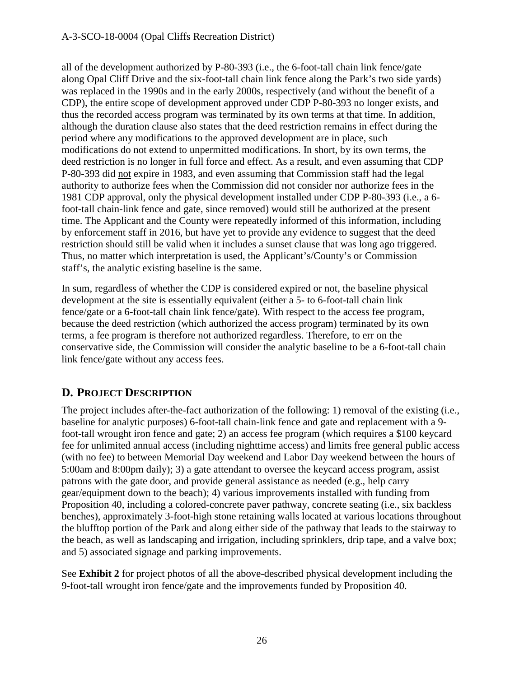all of the development authorized by P-80-393 (i.e., the 6-foot-tall chain link fence/gate along Opal Cliff Drive and the six-foot-tall chain link fence along the Park's two side yards) was replaced in the 1990s and in the early 2000s, respectively (and without the benefit of a CDP), the entire scope of development approved under CDP P-80-393 no longer exists, and thus the recorded access program was terminated by its own terms at that time. In addition, although the duration clause also states that the deed restriction remains in effect during the period where any modifications to the approved development are in place, such modifications do not extend to unpermitted modifications. In short, by its own terms, the deed restriction is no longer in full force and effect. As a result, and even assuming that CDP P-80-393 did not expire in 1983, and even assuming that Commission staff had the legal authority to authorize fees when the Commission did not consider nor authorize fees in the 1981 CDP approval, only the physical development installed under CDP P-80-393 (i.e., a 6 foot-tall chain-link fence and gate, since removed) would still be authorized at the present time. The Applicant and the County were repeatedly informed of this information, including by enforcement staff in 2016, but have yet to provide any evidence to suggest that the deed restriction should still be valid when it includes a sunset clause that was long ago triggered. Thus, no matter which interpretation is used, the Applicant's/County's or Commission staff's, the analytic existing baseline is the same.

In sum, regardless of whether the CDP is considered expired or not, the baseline physical development at the site is essentially equivalent (either a 5- to 6-foot-tall chain link fence/gate or a 6-foot-tall chain link fence/gate). With respect to the access fee program, because the deed restriction (which authorized the access program) terminated by its own terms, a fee program is therefore not authorized regardless. Therefore, to err on the conservative side, the Commission will consider the analytic baseline to be a 6-foot-tall chain link fence/gate without any access fees.

# **D. PROJECT DESCRIPTION**

The project includes after-the-fact authorization of the following: 1) removal of the existing (i.e., baseline for analytic purposes) 6-foot-tall chain-link fence and gate and replacement with a 9 foot-tall wrought iron fence and gate; 2) an access fee program (which requires a \$100 keycard fee for unlimited annual access (including nighttime access) and limits free general public access (with no fee) to between Memorial Day weekend and Labor Day weekend between the hours of 5:00am and 8:00pm daily); 3) a gate attendant to oversee the keycard access program, assist patrons with the gate door, and provide general assistance as needed (e.g., help carry gear/equipment down to the beach); 4) various improvements installed with funding from Proposition 40, including a colored-concrete paver pathway, concrete seating (i.e., six backless benches), approximately 3-foot-high stone retaining walls located at various locations throughout the blufftop portion of the Park and along either side of the pathway that leads to the stairway to the beach, as well as landscaping and irrigation, including sprinklers, drip tape, and a valve box; and 5) associated signage and parking improvements.

See **Exhibit 2** for project photos of all the above-described physical development including the 9-foot-tall wrought iron fence/gate and the improvements funded by Proposition 40.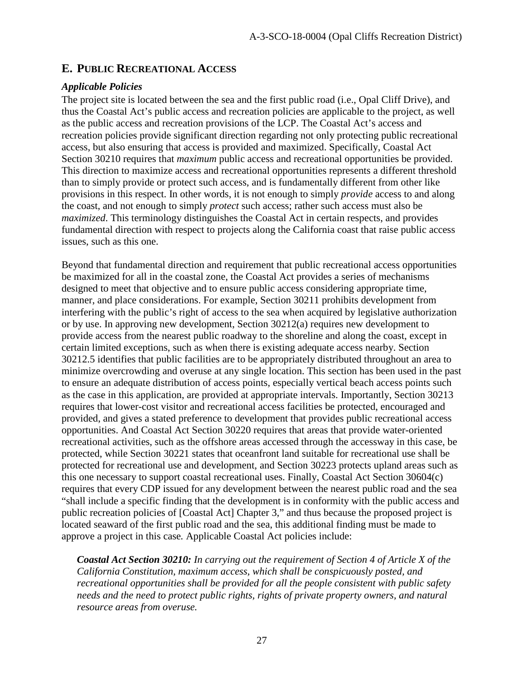# **E. PUBLIC RECREATIONAL ACCESS**

## *Applicable Policies*

The project site is located between the sea and the first public road (i.e., Opal Cliff Drive), and thus the Coastal Act's public access and recreation policies are applicable to the project, as well as the public access and recreation provisions of the LCP. The Coastal Act's access and recreation policies provide significant direction regarding not only protecting public recreational access, but also ensuring that access is provided and maximized. Specifically, Coastal Act Section 30210 requires that *maximum* public access and recreational opportunities be provided. This direction to maximize access and recreational opportunities represents a different threshold than to simply provide or protect such access, and is fundamentally different from other like provisions in this respect. In other words, it is not enough to simply *provide* access to and along the coast, and not enough to simply *protect* such access; rather such access must also be *maximized*. This terminology distinguishes the Coastal Act in certain respects, and provides fundamental direction with respect to projects along the California coast that raise public access issues, such as this one.

Beyond that fundamental direction and requirement that public recreational access opportunities be maximized for all in the coastal zone, the Coastal Act provides a series of mechanisms designed to meet that objective and to ensure public access considering appropriate time, manner, and place considerations. For example, Section 30211 prohibits development from interfering with the public's right of access to the sea when acquired by legislative authorization or by use. In approving new development, Section 30212(a) requires new development to provide access from the nearest public roadway to the shoreline and along the coast, except in certain limited exceptions, such as when there is existing adequate access nearby. Section 30212.5 identifies that public facilities are to be appropriately distributed throughout an area to minimize overcrowding and overuse at any single location. This section has been used in the past to ensure an adequate distribution of access points, especially vertical beach access points such as the case in this application, are provided at appropriate intervals. Importantly, Section 30213 requires that lower-cost visitor and recreational access facilities be protected, encouraged and provided, and gives a stated preference to development that provides public recreational access opportunities. And Coastal Act Section 30220 requires that areas that provide water-oriented recreational activities, such as the offshore areas accessed through the accessway in this case, be protected, while Section 30221 states that oceanfront land suitable for recreational use shall be protected for recreational use and development, and Section 30223 protects upland areas such as this one necessary to support coastal recreational uses. Finally, Coastal Act Section 30604(c) requires that every CDP issued for any development between the nearest public road and the sea "shall include a specific finding that the development is in conformity with the public access and public recreation policies of [Coastal Act] Chapter 3," and thus because the proposed project is located seaward of the first public road and the sea, this additional finding must be made to approve a project in this case*.* Applicable Coastal Act policies include:

*Coastal Act Section 30210: In carrying out the requirement of Section 4 of Article X of the California Constitution, maximum access, which shall be conspicuously posted, and recreational opportunities shall be provided for all the people consistent with public safety needs and the need to protect public rights, rights of private property owners, and natural resource areas from overuse.*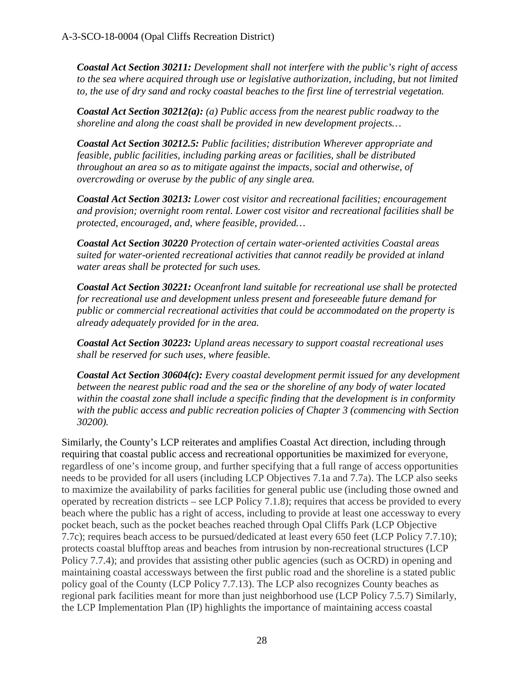*Coastal Act Section 30211: Development shall not interfere with the public's right of access to the sea where acquired through use or legislative authorization, including, but not limited to, the use of dry sand and rocky coastal beaches to the first line of terrestrial vegetation.* 

*Coastal Act Section 30212(a): (a) Public access from the nearest public roadway to the shoreline and along the coast shall be provided in new development projects…* 

*Coastal Act Section 30212.5: Public facilities; distribution Wherever appropriate and feasible, public facilities, including parking areas or facilities, shall be distributed throughout an area so as to mitigate against the impacts, social and otherwise, of overcrowding or overuse by the public of any single area.* 

*Coastal Act Section 30213: Lower cost visitor and recreational facilities; encouragement and provision; overnight room rental. Lower cost visitor and recreational facilities shall be protected, encouraged, and, where feasible, provided…* 

*Coastal Act Section 30220 Protection of certain water-oriented activities Coastal areas suited for water-oriented recreational activities that cannot readily be provided at inland water areas shall be protected for such uses.* 

*Coastal Act Section 30221: Oceanfront land suitable for recreational use shall be protected for recreational use and development unless present and foreseeable future demand for public or commercial recreational activities that could be accommodated on the property is already adequately provided for in the area.* 

*Coastal Act Section 30223: Upland areas necessary to support coastal recreational uses shall be reserved for such uses, where feasible.* 

*Coastal Act Section 30604(c): Every coastal development permit issued for any development between the nearest public road and the sea or the shoreline of any body of water located within the coastal zone shall include a specific finding that the development is in conformity with the public access and public recreation policies of Chapter 3 (commencing with Section 30200).* 

Similarly, the County's LCP reiterates and amplifies Coastal Act direction, including through requiring that coastal public access and recreational opportunities be maximized for everyone, regardless of one's income group, and further specifying that a full range of access opportunities needs to be provided for all users (including LCP Objectives 7.1a and 7.7a). The LCP also seeks to maximize the availability of parks facilities for general public use (including those owned and operated by recreation districts – see LCP Policy 7.1.8); requires that access be provided to every beach where the public has a right of access, including to provide at least one accessway to every pocket beach, such as the pocket beaches reached through Opal Cliffs Park (LCP Objective 7.7c); requires beach access to be pursued/dedicated at least every 650 feet (LCP Policy 7.7.10); protects coastal blufftop areas and beaches from intrusion by non-recreational structures (LCP Policy 7.7.4); and provides that assisting other public agencies (such as OCRD) in opening and maintaining coastal accessways between the first public road and the shoreline is a stated public policy goal of the County (LCP Policy 7.7.13). The LCP also recognizes County beaches as regional park facilities meant for more than just neighborhood use (LCP Policy 7.5.7) Similarly, the LCP Implementation Plan (IP) highlights the importance of maintaining access coastal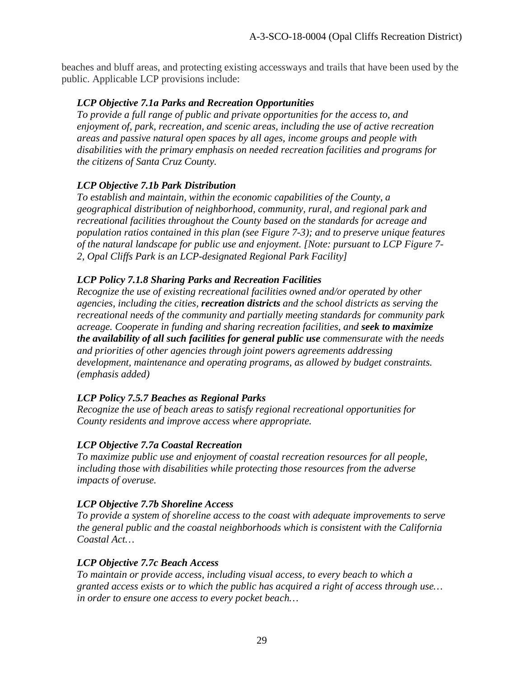beaches and bluff areas, and protecting existing accessways and trails that have been used by the public. Applicable LCP provisions include:

#### *LCP Objective 7.1a Parks and Recreation Opportunities*

*To provide a full range of public and private opportunities for the access to, and enjoyment of, park, recreation, and scenic areas, including the use of active recreation areas and passive natural open spaces by all ages, income groups and people with disabilities with the primary emphasis on needed recreation facilities and programs for the citizens of Santa Cruz County.* 

### *LCP Objective 7.1b Park Distribution*

*To establish and maintain, within the economic capabilities of the County, a geographical distribution of neighborhood, community, rural, and regional park and recreational facilities throughout the County based on the standards for acreage and population ratios contained in this plan (see Figure 7-3); and to preserve unique features of the natural landscape for public use and enjoyment. [Note: pursuant to LCP Figure 7- 2, Opal Cliffs Park is an LCP-designated Regional Park Facility]* 

### *LCP Policy 7.1.8 Sharing Parks and Recreation Facilities*

*Recognize the use of existing recreational facilities owned and/or operated by other agencies, including the cities, recreation districts and the school districts as serving the recreational needs of the community and partially meeting standards for community park acreage. Cooperate in funding and sharing recreation facilities, and seek to maximize the availability of all such facilities for general public use commensurate with the needs and priorities of other agencies through joint powers agreements addressing development, maintenance and operating programs, as allowed by budget constraints. (emphasis added)* 

# *LCP Policy 7.5.7 Beaches as Regional Parks*

*Recognize the use of beach areas to satisfy regional recreational opportunities for County residents and improve access where appropriate.* 

#### *LCP Objective 7.7a Coastal Recreation*

*To maximize public use and enjoyment of coastal recreation resources for all people, including those with disabilities while protecting those resources from the adverse impacts of overuse.* 

#### *LCP Objective 7.7b Shoreline Access*

*To provide a system of shoreline access to the coast with adequate improvements to serve the general public and the coastal neighborhoods which is consistent with the California Coastal Act…* 

#### *LCP Objective 7.7c Beach Access*

*To maintain or provide access, including visual access, to every beach to which a granted access exists or to which the public has acquired a right of access through use… in order to ensure one access to every pocket beach…*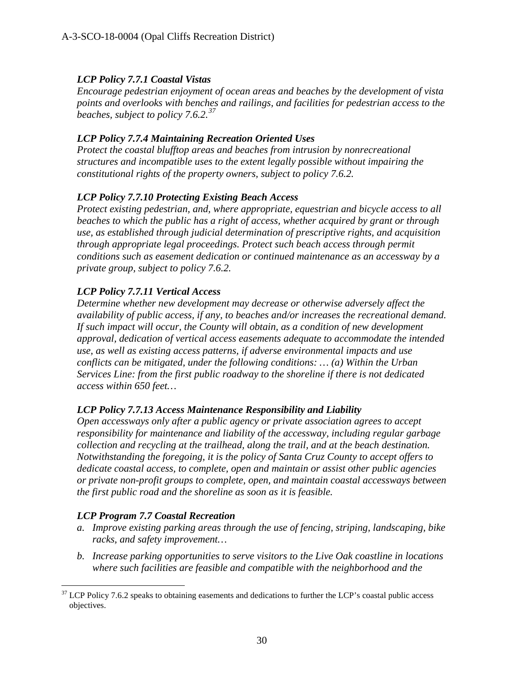## *LCP Policy 7.7.1 Coastal Vistas*

*Encourage pedestrian enjoyment of ocean areas and beaches by the development of vista points and overlooks with benches and railings, and facilities for pedestrian access to the beaches, subject to policy 7.6.2.[37](#page-29-0)*

#### *LCP Policy 7.7.4 Maintaining Recreation Oriented Uses*

*Protect the coastal blufftop areas and beaches from intrusion by nonrecreational structures and incompatible uses to the extent legally possible without impairing the constitutional rights of the property owners, subject to policy 7.6.2.* 

### *LCP Policy 7.7.10 Protecting Existing Beach Access*

*Protect existing pedestrian, and, where appropriate, equestrian and bicycle access to all beaches to which the public has a right of access, whether acquired by grant or through use, as established through judicial determination of prescriptive rights, and acquisition through appropriate legal proceedings. Protect such beach access through permit conditions such as easement dedication or continued maintenance as an accessway by a private group, subject to policy 7.6.2.* 

### *LCP Policy 7.7.11 Vertical Access*

*Determine whether new development may decrease or otherwise adversely affect the availability of public access, if any, to beaches and/or increases the recreational demand. If such impact will occur, the County will obtain, as a condition of new development approval, dedication of vertical access easements adequate to accommodate the intended use, as well as existing access patterns, if adverse environmental impacts and use conflicts can be mitigated, under the following conditions: … (a) Within the Urban Services Line: from the first public roadway to the shoreline if there is not dedicated access within 650 feet…* 

#### *LCP Policy 7.7.13 Access Maintenance Responsibility and Liability*

*Open accessways only after a public agency or private association agrees to accept responsibility for maintenance and liability of the accessway, including regular garbage collection and recycling at the trailhead, along the trail, and at the beach destination. Notwithstanding the foregoing, it is the policy of Santa Cruz County to accept offers to dedicate coastal access, to complete, open and maintain or assist other public agencies or private non-profit groups to complete, open, and maintain coastal accessways between the first public road and the shoreline as soon as it is feasible.* 

#### *LCP Program 7.7 Coastal Recreation*

- *a. Improve existing parking areas through the use of fencing, striping, landscaping, bike racks, and safety improvement…*
- *b. Increase parking opportunities to serve visitors to the Live Oak coastline in locations where such facilities are feasible and compatible with the neighborhood and the*

<span id="page-29-0"></span> $37$  LCP Policy 7.6.2 speaks to obtaining easements and dedications to further the LCP's coastal public access objectives.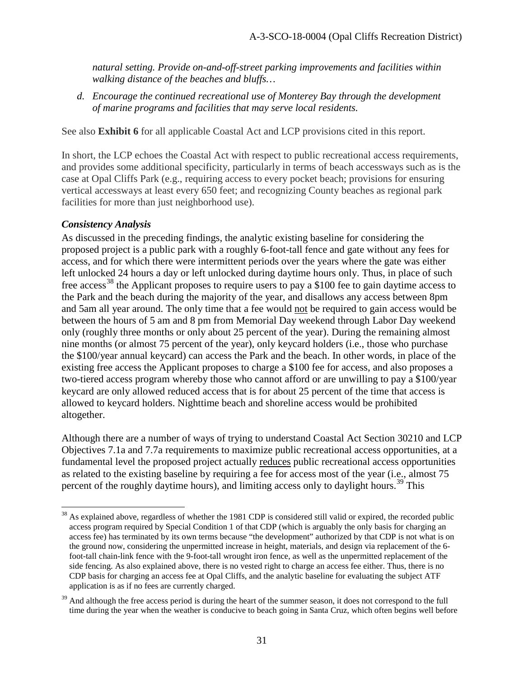*natural setting. Provide on-and-off-street parking improvements and facilities within walking distance of the beaches and bluffs…* 

*d. Encourage the continued recreational use of Monterey Bay through the development of marine programs and facilities that may serve local residents.*

See also **Exhibit 6** for all applicable Coastal Act and LCP provisions cited in this report.

In short, the LCP echoes the Coastal Act with respect to public recreational access requirements, and provides some additional specificity, particularly in terms of beach accessways such as is the case at Opal Cliffs Park (e.g., requiring access to every pocket beach; provisions for ensuring vertical accessways at least every 650 feet; and recognizing County beaches as regional park facilities for more than just neighborhood use).

# *Consistency Analysis*

As discussed in the preceding findings, the analytic existing baseline for considering the proposed project is a public park with a roughly 6-foot-tall fence and gate without any fees for access, and for which there were intermittent periods over the years where the gate was either left unlocked 24 hours a day or left unlocked during daytime hours only. Thus, in place of such free access<sup>38</sup> the Applicant proposes to require users to pay a \$100 fee to gain daytime access to the Park and the beach during the majority of the year, and disallows any access between 8pm and 5am all year around. The only time that a fee would not be required to gain access would be between the hours of 5 am and 8 pm from Memorial Day weekend through Labor Day weekend only (roughly three months or only about 25 percent of the year). During the remaining almost nine months (or almost 75 percent of the year), only keycard holders (i.e., those who purchase the \$100/year annual keycard) can access the Park and the beach. In other words, in place of the existing free access the Applicant proposes to charge a \$100 fee for access, and also proposes a two-tiered access program whereby those who cannot afford or are unwilling to pay a \$100/year keycard are only allowed reduced access that is for about 25 percent of the time that access is allowed to keycard holders. Nighttime beach and shoreline access would be prohibited altogether.

Although there are a number of ways of trying to understand Coastal Act Section 30210 and LCP Objectives 7.1a and 7.7a requirements to maximize public recreational access opportunities, at a fundamental level the proposed project actually reduces public recreational access opportunities as related to the existing baseline by requiring a fee for access most of the year (i.e., almost 75 percent of the roughly daytime hours), and limiting access only to daylight hours.<sup>[39](#page-30-1)</sup> This

<span id="page-30-0"></span> $\overline{a}$  $38$  As explained above, regardless of whether the 1981 CDP is considered still valid or expired, the recorded public access program required by Special Condition 1 of that CDP (which is arguably the only basis for charging an access fee) has terminated by its own terms because "the development" authorized by that CDP is not what is on the ground now, considering the unpermitted increase in height, materials, and design via replacement of the 6 foot-tall chain-link fence with the 9-foot-tall wrought iron fence, as well as the unpermitted replacement of the side fencing. As also explained above, there is no vested right to charge an access fee either. Thus, there is no CDP basis for charging an access fee at Opal Cliffs, and the analytic baseline for evaluating the subject ATF application is as if no fees are currently charged.

<span id="page-30-1"></span> $39$  And although the free access period is during the heart of the summer season, it does not correspond to the full time during the year when the weather is conducive to beach going in Santa Cruz, which often begins well before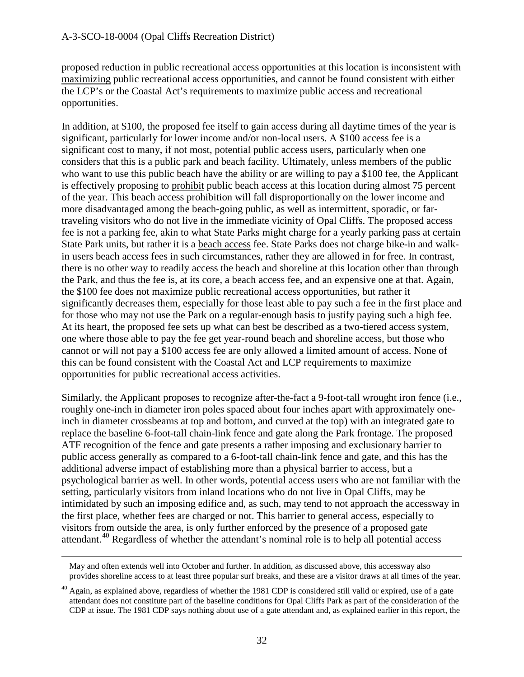proposed reduction in public recreational access opportunities at this location is inconsistent with maximizing public recreational access opportunities, and cannot be found consistent with either the LCP's or the Coastal Act's requirements to maximize public access and recreational opportunities.

In addition, at \$100, the proposed fee itself to gain access during all daytime times of the year is significant, particularly for lower income and/or non-local users. A \$100 access fee is a significant cost to many, if not most, potential public access users, particularly when one considers that this is a public park and beach facility. Ultimately, unless members of the public who want to use this public beach have the ability or are willing to pay a \$100 fee, the Applicant is effectively proposing to prohibit public beach access at this location during almost 75 percent of the year. This beach access prohibition will fall disproportionally on the lower income and more disadvantaged among the beach-going public, as well as intermittent, sporadic, or fartraveling visitors who do not live in the immediate vicinity of Opal Cliffs. The proposed access fee is not a parking fee, akin to what State Parks might charge for a yearly parking pass at certain State Park units, but rather it is a beach access fee. State Parks does not charge bike-in and walkin users beach access fees in such circumstances, rather they are allowed in for free. In contrast, there is no other way to readily access the beach and shoreline at this location other than through the Park, and thus the fee is, at its core, a beach access fee, and an expensive one at that. Again, the \$100 fee does not maximize public recreational access opportunities, but rather it significantly decreases them, especially for those least able to pay such a fee in the first place and for those who may not use the Park on a regular-enough basis to justify paying such a high fee. At its heart, the proposed fee sets up what can best be described as a two-tiered access system, one where those able to pay the fee get year-round beach and shoreline access, but those who cannot or will not pay a \$100 access fee are only allowed a limited amount of access. None of this can be found consistent with the Coastal Act and LCP requirements to maximize opportunities for public recreational access activities.

Similarly, the Applicant proposes to recognize after-the-fact a 9-foot-tall wrought iron fence (i.e., roughly one-inch in diameter iron poles spaced about four inches apart with approximately oneinch in diameter crossbeams at top and bottom, and curved at the top) with an integrated gate to replace the baseline 6-foot-tall chain-link fence and gate along the Park frontage. The proposed ATF recognition of the fence and gate presents a rather imposing and exclusionary barrier to public access generally as compared to a 6-foot-tall chain-link fence and gate, and this has the additional adverse impact of establishing more than a physical barrier to access, but a psychological barrier as well. In other words, potential access users who are not familiar with the setting, particularly visitors from inland locations who do not live in Opal Cliffs, may be intimidated by such an imposing edifice and, as such, may tend to not approach the accessway in the first place, whether fees are charged or not. This barrier to general access, especially to visitors from outside the area, is only further enforced by the presence of a proposed gate attendant.<sup>[40](#page-31-0)</sup> Regardless of whether the attendant's nominal role is to help all potential access

May and often extends well into October and further. In addition, as discussed above, this accessway also provides shoreline access to at least three popular surf breaks, and these are a visitor draws at all times of the year.

<span id="page-31-0"></span> $^{40}$  Again, as explained above, regardless of whether the 1981 CDP is considered still valid or expired, use of a gate attendant does not constitute part of the baseline conditions for Opal Cliffs Park as part of the consideration of the CDP at issue. The 1981 CDP says nothing about use of a gate attendant and, as explained earlier in this report, the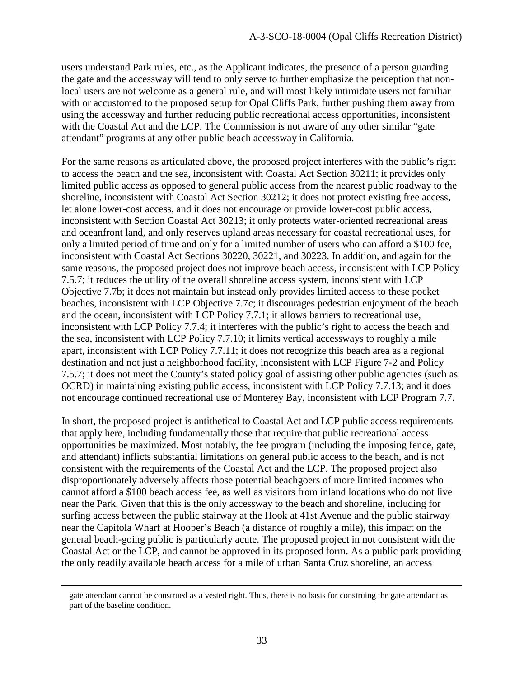users understand Park rules, etc., as the Applicant indicates, the presence of a person guarding the gate and the accessway will tend to only serve to further emphasize the perception that nonlocal users are not welcome as a general rule, and will most likely intimidate users not familiar with or accustomed to the proposed setup for Opal Cliffs Park, further pushing them away from using the accessway and further reducing public recreational access opportunities, inconsistent with the Coastal Act and the LCP. The Commission is not aware of any other similar "gate attendant" programs at any other public beach accessway in California.

For the same reasons as articulated above, the proposed project interferes with the public's right to access the beach and the sea, inconsistent with Coastal Act Section 30211; it provides only limited public access as opposed to general public access from the nearest public roadway to the shoreline, inconsistent with Coastal Act Section 30212; it does not protect existing free access, let alone lower-cost access, and it does not encourage or provide lower-cost public access, inconsistent with Section Coastal Act 30213; it only protects water-oriented recreational areas and oceanfront land, and only reserves upland areas necessary for coastal recreational uses, for only a limited period of time and only for a limited number of users who can afford a \$100 fee, inconsistent with Coastal Act Sections 30220, 30221, and 30223. In addition, and again for the same reasons, the proposed project does not improve beach access, inconsistent with LCP Policy 7.5.7; it reduces the utility of the overall shoreline access system, inconsistent with LCP Objective 7.7b; it does not maintain but instead only provides limited access to these pocket beaches, inconsistent with LCP Objective 7.7c; it discourages pedestrian enjoyment of the beach and the ocean, inconsistent with LCP Policy 7.7.1; it allows barriers to recreational use, inconsistent with LCP Policy 7.7.4; it interferes with the public's right to access the beach and the sea, inconsistent with LCP Policy 7.7.10; it limits vertical accessways to roughly a mile apart, inconsistent with LCP Policy 7.7.11; it does not recognize this beach area as a regional destination and not just a neighborhood facility, inconsistent with LCP Figure 7-2 and Policy 7.5.7; it does not meet the County's stated policy goal of assisting other public agencies (such as OCRD) in maintaining existing public access, inconsistent with LCP Policy 7.7.13; and it does not encourage continued recreational use of Monterey Bay, inconsistent with LCP Program 7.7.

In short, the proposed project is antithetical to Coastal Act and LCP public access requirements that apply here, including fundamentally those that require that public recreational access opportunities be maximized. Most notably, the fee program (including the imposing fence, gate, and attendant) inflicts substantial limitations on general public access to the beach, and is not consistent with the requirements of the Coastal Act and the LCP. The proposed project also disproportionately adversely affects those potential beachgoers of more limited incomes who cannot afford a \$100 beach access fee, as well as visitors from inland locations who do not live near the Park. Given that this is the only accessway to the beach and shoreline, including for surfing access between the public stairway at the Hook at 41st Avenue and the public stairway near the Capitola Wharf at Hooper's Beach (a distance of roughly a mile), this impact on the general beach-going public is particularly acute. The proposed project in not consistent with the Coastal Act or the LCP, and cannot be approved in its proposed form. As a public park providing the only readily available beach access for a mile of urban Santa Cruz shoreline, an access

gate attendant cannot be construed as a vested right. Thus, there is no basis for construing the gate attendant as part of the baseline condition.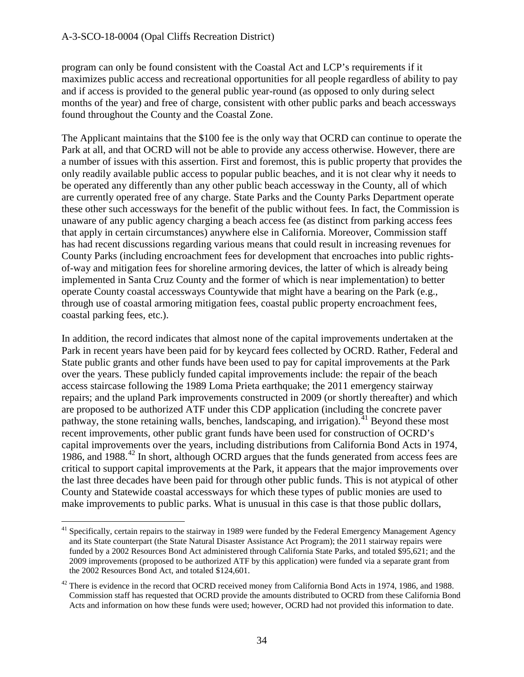$\overline{a}$ 

program can only be found consistent with the Coastal Act and LCP's requirements if it maximizes public access and recreational opportunities for all people regardless of ability to pay and if access is provided to the general public year-round (as opposed to only during select months of the year) and free of charge, consistent with other public parks and beach accessways found throughout the County and the Coastal Zone.

The Applicant maintains that the \$100 fee is the only way that OCRD can continue to operate the Park at all, and that OCRD will not be able to provide any access otherwise. However, there are a number of issues with this assertion. First and foremost, this is public property that provides the only readily available public access to popular public beaches, and it is not clear why it needs to be operated any differently than any other public beach accessway in the County, all of which are currently operated free of any charge. State Parks and the County Parks Department operate these other such accessways for the benefit of the public without fees. In fact, the Commission is unaware of any public agency charging a beach access fee (as distinct from parking access fees that apply in certain circumstances) anywhere else in California. Moreover, Commission staff has had recent discussions regarding various means that could result in increasing revenues for County Parks (including encroachment fees for development that encroaches into public rightsof-way and mitigation fees for shoreline armoring devices, the latter of which is already being implemented in Santa Cruz County and the former of which is near implementation) to better operate County coastal accessways Countywide that might have a bearing on the Park (e.g., through use of coastal armoring mitigation fees, coastal public property encroachment fees, coastal parking fees, etc.).

In addition, the record indicates that almost none of the capital improvements undertaken at the Park in recent years have been paid for by keycard fees collected by OCRD. Rather, Federal and State public grants and other funds have been used to pay for capital improvements at the Park over the years. These publicly funded capital improvements include: the repair of the beach access staircase following the 1989 Loma Prieta earthquake; the 2011 emergency stairway repairs; and the upland Park improvements constructed in 2009 (or shortly thereafter) and which are proposed to be authorized ATF under this CDP application (including the concrete paver pathway, the stone retaining walls, benches, landscaping, and irrigation).<sup>[41](#page-33-0)</sup> Beyond these most recent improvements, other public grant funds have been used for construction of OCRD's capital improvements over the years, including distributions from California Bond Acts in 1974, 1986, and 1988.<sup>[42](#page-33-1)</sup> In short, although OCRD argues that the funds generated from access fees are critical to support capital improvements at the Park, it appears that the major improvements over the last three decades have been paid for through other public funds. This is not atypical of other County and Statewide coastal accessways for which these types of public monies are used to make improvements to public parks. What is unusual in this case is that those public dollars,

<span id="page-33-0"></span><sup>&</sup>lt;sup>41</sup> Specifically, certain repairs to the stairway in 1989 were funded by the Federal Emergency Management Agency and its State counterpart (the State Natural Disaster Assistance Act Program); the 2011 stairway repairs were funded by a 2002 Resources Bond Act administered through California State Parks, and totaled \$95,621; and the 2009 improvements (proposed to be authorized ATF by this application) were funded via a separate grant from the 2002 Resources Bond Act, and totaled \$124,601.

<span id="page-33-1"></span> $42$  There is evidence in the record that OCRD received money from California Bond Acts in 1974, 1986, and 1988. Commission staff has requested that OCRD provide the amounts distributed to OCRD from these California Bond Acts and information on how these funds were used; however, OCRD had not provided this information to date.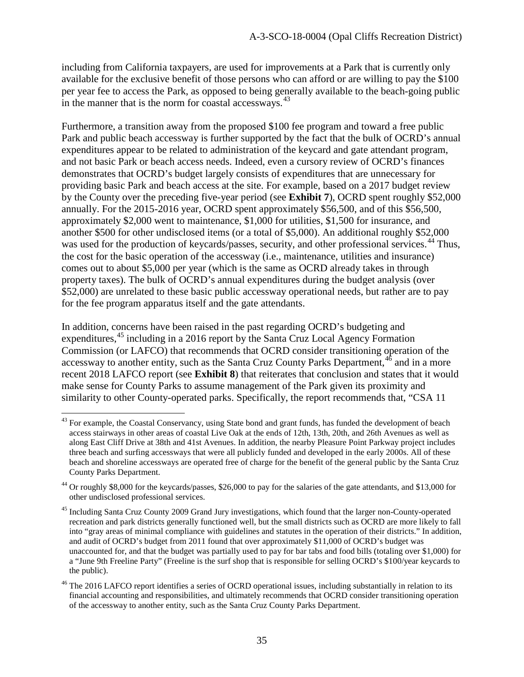including from California taxpayers, are used for improvements at a Park that is currently only available for the exclusive benefit of those persons who can afford or are willing to pay the \$100 per year fee to access the Park, as opposed to being generally available to the beach-going public in the manner that is the norm for coastal accessways. $43$ 

Furthermore, a transition away from the proposed \$100 fee program and toward a free public Park and public beach accessway is further supported by the fact that the bulk of OCRD's annual expenditures appear to be related to administration of the keycard and gate attendant program, and not basic Park or beach access needs. Indeed, even a cursory review of OCRD's finances demonstrates that OCRD's budget largely consists of expenditures that are unnecessary for providing basic Park and beach access at the site. For example, based on a 2017 budget review by the County over the preceding five-year period (see **Exhibit 7**), OCRD spent roughly \$52,000 annually. For the 2015-2016 year, OCRD spent approximately \$56,500, and of this \$56,500, approximately \$2,000 went to maintenance, \$1,000 for utilities, \$1,500 for insurance, and another \$500 for other undisclosed items (or a total of \$5,000). An additional roughly \$52,000 was used for the production of keycards/passes, security, and other professional services.<sup>44</sup> Thus, the cost for the basic operation of the accessway (i.e., maintenance, utilities and insurance) comes out to about \$5,000 per year (which is the same as OCRD already takes in through property taxes). The bulk of OCRD's annual expenditures during the budget analysis (over \$52,000) are unrelated to these basic public accessway operational needs, but rather are to pay for the fee program apparatus itself and the gate attendants.

In addition, concerns have been raised in the past regarding OCRD's budgeting and expenditures,<sup>45</sup> including in a 2016 report by the Santa Cruz Local Agency Formation Commission (or LAFCO) that recommends that OCRD consider transitioning operation of the accessway to another entity, such as the Santa Cruz County Parks Department,<sup>[46](#page-34-3)</sup> and in a more recent 2018 LAFCO report (see **Exhibit 8**) that reiterates that conclusion and states that it would make sense for County Parks to assume management of the Park given its proximity and similarity to other County-operated parks. Specifically, the report recommends that, "CSA 11

<span id="page-34-0"></span> $\ddot{\phantom{a}}$ <sup>43</sup> For example, the Coastal Conservancy, using State bond and grant funds, has funded the development of beach access stairways in other areas of coastal Live Oak at the ends of 12th, 13th, 20th, and 26th Avenues as well as along East Cliff Drive at 38th and 41st Avenues. In addition, the nearby Pleasure Point Parkway project includes three beach and surfing accessways that were all publicly funded and developed in the early 2000s. All of these beach and shoreline accessways are operated free of charge for the benefit of the general public by the Santa Cruz County Parks Department.

<span id="page-34-1"></span><sup>44</sup> Or roughly \$8,000 for the keycards/passes, \$26,000 to pay for the salaries of the gate attendants, and \$13,000 for other undisclosed professional services.

<span id="page-34-2"></span><sup>&</sup>lt;sup>45</sup> Including Santa Cruz County 2009 Grand Jury investigations, which found that the larger non-County-operated recreation and park districts generally functioned well, but the small districts such as OCRD are more likely to fall into "gray areas of minimal compliance with guidelines and statutes in the operation of their districts." In addition, and audit of OCRD's budget from 2011 found that over approximately \$11,000 of OCRD's budget was unaccounted for, and that the budget was partially used to pay for bar tabs and food bills (totaling over \$1,000) for a "June 9th Freeline Party" (Freeline is the surf shop that is responsible for selling OCRD's \$100/year keycards to the public).

<span id="page-34-3"></span><sup>&</sup>lt;sup>46</sup> The 2016 LAFCO report identifies a series of OCRD operational issues, including substantially in relation to its financial accounting and responsibilities, and ultimately recommends that OCRD consider transitioning operation of the accessway to another entity, such as the Santa Cruz County Parks Department.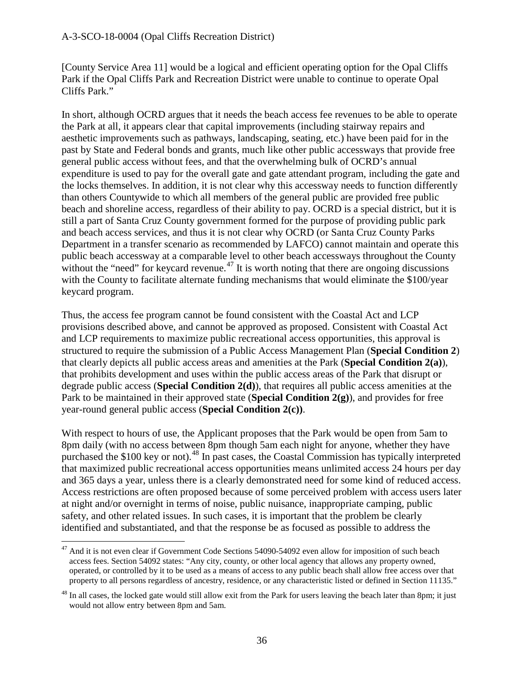[County Service Area 11] would be a logical and efficient operating option for the Opal Cliffs Park if the Opal Cliffs Park and Recreation District were unable to continue to operate Opal Cliffs Park."

In short, although OCRD argues that it needs the beach access fee revenues to be able to operate the Park at all, it appears clear that capital improvements (including stairway repairs and aesthetic improvements such as pathways, landscaping, seating, etc.) have been paid for in the past by State and Federal bonds and grants, much like other public accessways that provide free general public access without fees, and that the overwhelming bulk of OCRD's annual expenditure is used to pay for the overall gate and gate attendant program, including the gate and the locks themselves. In addition, it is not clear why this accessway needs to function differently than others Countywide to which all members of the general public are provided free public beach and shoreline access, regardless of their ability to pay. OCRD is a special district, but it is still a part of Santa Cruz County government formed for the purpose of providing public park and beach access services, and thus it is not clear why OCRD (or Santa Cruz County Parks Department in a transfer scenario as recommended by LAFCO) cannot maintain and operate this public beach accessway at a comparable level to other beach accessways throughout the County without the "need" for keycard revenue.<sup>[47](#page-35-0)</sup> It is worth noting that there are ongoing discussions with the County to facilitate alternate funding mechanisms that would eliminate the \$100/year keycard program.

Thus, the access fee program cannot be found consistent with the Coastal Act and LCP provisions described above, and cannot be approved as proposed. Consistent with Coastal Act and LCP requirements to maximize public recreational access opportunities, this approval is structured to require the submission of a Public Access Management Plan (**Special Condition 2**) that clearly depicts all public access areas and amenities at the Park (**Special Condition 2(a)**), that prohibits development and uses within the public access areas of the Park that disrupt or degrade public access (**Special Condition 2(d)**), that requires all public access amenities at the Park to be maintained in their approved state (**Special Condition 2(g)**), and provides for free year-round general public access (**Special Condition 2(c))**.

With respect to hours of use, the Applicant proposes that the Park would be open from 5am to 8pm daily (with no access between 8pm though 5am each night for anyone, whether they have purchased the \$100 key or not).<sup>[48](#page-35-1)</sup> In past cases, the Coastal Commission has typically interpreted that maximized public recreational access opportunities means unlimited access 24 hours per day and 365 days a year, unless there is a clearly demonstrated need for some kind of reduced access. Access restrictions are often proposed because of some perceived problem with access users later at night and/or overnight in terms of noise, public nuisance, inappropriate camping, public safety, and other related issues. In such cases, it is important that the problem be clearly identified and substantiated, and that the response be as focused as possible to address the

<span id="page-35-0"></span> $\ddot{\phantom{a}}$ <sup>47</sup> And it is not even clear if Government Code Sections 54090-54092 even allow for imposition of such beach access fees. Section 54092 states: "Any city, county, or other local agency that allows any property owned, operated, or controlled by it to be used as a means of access to any public beach shall allow free access over that property to all persons regardless of ancestry, residence, or any characteristic listed or defined in Section 11135."

<span id="page-35-1"></span> $^{48}$  In all cases, the locked gate would still allow exit from the Park for users leaving the beach later than 8pm; it just would not allow entry between 8pm and 5am.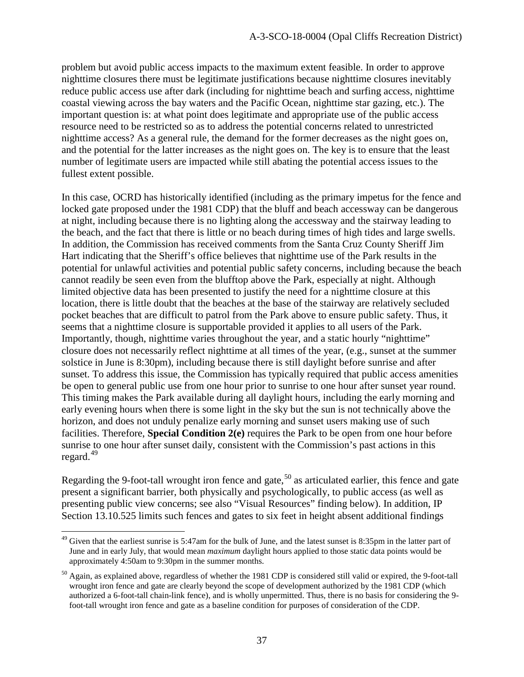problem but avoid public access impacts to the maximum extent feasible. In order to approve nighttime closures there must be legitimate justifications because nighttime closures inevitably reduce public access use after dark (including for nighttime beach and surfing access, nighttime coastal viewing across the bay waters and the Pacific Ocean, nighttime star gazing, etc.). The important question is: at what point does legitimate and appropriate use of the public access resource need to be restricted so as to address the potential concerns related to unrestricted nighttime access? As a general rule, the demand for the former decreases as the night goes on, and the potential for the latter increases as the night goes on. The key is to ensure that the least number of legitimate users are impacted while still abating the potential access issues to the fullest extent possible.

In this case, OCRD has historically identified (including as the primary impetus for the fence and locked gate proposed under the 1981 CDP) that the bluff and beach accessway can be dangerous at night, including because there is no lighting along the accessway and the stairway leading to the beach, and the fact that there is little or no beach during times of high tides and large swells. In addition, the Commission has received comments from the Santa Cruz County Sheriff Jim Hart indicating that the Sheriff's office believes that nighttime use of the Park results in the potential for unlawful activities and potential public safety concerns, including because the beach cannot readily be seen even from the blufftop above the Park, especially at night. Although limited objective data has been presented to justify the need for a nighttime closure at this location, there is little doubt that the beaches at the base of the stairway are relatively secluded pocket beaches that are difficult to patrol from the Park above to ensure public safety. Thus, it seems that a nighttime closure is supportable provided it applies to all users of the Park. Importantly, though, nighttime varies throughout the year, and a static hourly "nighttime" closure does not necessarily reflect nighttime at all times of the year, (e.g., sunset at the summer solstice in June is 8:30pm), including because there is still daylight before sunrise and after sunset. To address this issue, the Commission has typically required that public access amenities be open to general public use from one hour prior to sunrise to one hour after sunset year round. This timing makes the Park available during all daylight hours, including the early morning and early evening hours when there is some light in the sky but the sun is not technically above the horizon, and does not unduly penalize early morning and sunset users making use of such facilities. Therefore, **Special Condition 2(e)** requires the Park to be open from one hour before sunrise to one hour after sunset daily, consistent with the Commission's past actions in this regard. $49$ 

Regarding the 9-foot-tall wrought iron fence and gate,<sup>[50](#page-36-1)</sup> as articulated earlier, this fence and gate present a significant barrier, both physically and psychologically, to public access (as well as presenting public view concerns; see also "Visual Resources" finding below). In addition, IP Section 13.10.525 limits such fences and gates to six feet in height absent additional findings

<span id="page-36-0"></span> $49$  Given that the earliest sunrise is 5:47am for the bulk of June, and the latest sunset is 8:35pm in the latter part of June and in early July, that would mean *maximum* daylight hours applied to those static data points would be approximately 4:50am to 9:30pm in the summer months.

<span id="page-36-1"></span> $50$  Again, as explained above, regardless of whether the 1981 CDP is considered still valid or expired, the 9-foot-tall wrought iron fence and gate are clearly beyond the scope of development authorized by the 1981 CDP (which authorized a 6-foot-tall chain-link fence), and is wholly unpermitted. Thus, there is no basis for considering the 9 foot-tall wrought iron fence and gate as a baseline condition for purposes of consideration of the CDP.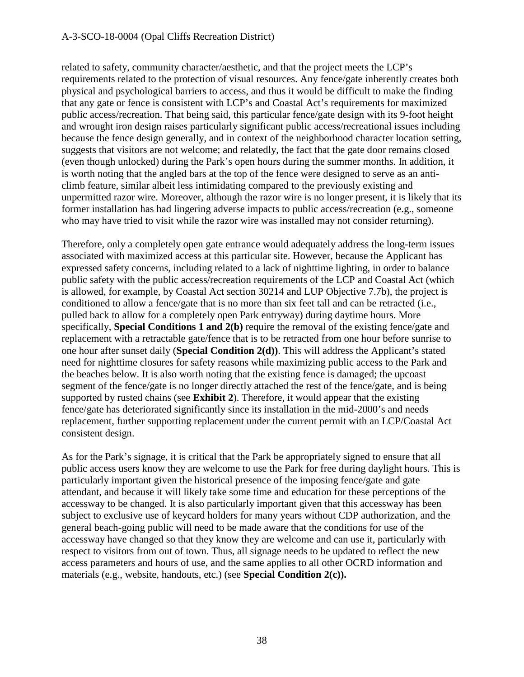#### A-3-SCO-18-0004 (Opal Cliffs Recreation District)

related to safety, community character/aesthetic, and that the project meets the LCP's requirements related to the protection of visual resources. Any fence/gate inherently creates both physical and psychological barriers to access, and thus it would be difficult to make the finding that any gate or fence is consistent with LCP's and Coastal Act's requirements for maximized public access/recreation. That being said, this particular fence/gate design with its 9-foot height and wrought iron design raises particularly significant public access/recreational issues including because the fence design generally, and in context of the neighborhood character location setting, suggests that visitors are not welcome; and relatedly, the fact that the gate door remains closed (even though unlocked) during the Park's open hours during the summer months. In addition, it is worth noting that the angled bars at the top of the fence were designed to serve as an anticlimb feature, similar albeit less intimidating compared to the previously existing and unpermitted razor wire. Moreover, although the razor wire is no longer present, it is likely that its former installation has had lingering adverse impacts to public access/recreation (e.g., someone who may have tried to visit while the razor wire was installed may not consider returning).

Therefore, only a completely open gate entrance would adequately address the long-term issues associated with maximized access at this particular site. However, because the Applicant has expressed safety concerns, including related to a lack of nighttime lighting, in order to balance public safety with the public access/recreation requirements of the LCP and Coastal Act (which is allowed, for example, by Coastal Act section 30214 and LUP Objective 7.7b), the project is conditioned to allow a fence/gate that is no more than six feet tall and can be retracted (i.e., pulled back to allow for a completely open Park entryway) during daytime hours. More specifically, **Special Conditions 1 and 2(b)** require the removal of the existing fence/gate and replacement with a retractable gate/fence that is to be retracted from one hour before sunrise to one hour after sunset daily (**Special Condition 2(d))**. This will address the Applicant's stated need for nighttime closures for safety reasons while maximizing public access to the Park and the beaches below. It is also worth noting that the existing fence is damaged; the upcoast segment of the fence/gate is no longer directly attached the rest of the fence/gate, and is being supported by rusted chains (see **Exhibit 2**). Therefore, it would appear that the existing fence/gate has deteriorated significantly since its installation in the mid-2000's and needs replacement, further supporting replacement under the current permit with an LCP/Coastal Act consistent design.

As for the Park's signage, it is critical that the Park be appropriately signed to ensure that all public access users know they are welcome to use the Park for free during daylight hours. This is particularly important given the historical presence of the imposing fence/gate and gate attendant, and because it will likely take some time and education for these perceptions of the accessway to be changed. It is also particularly important given that this accessway has been subject to exclusive use of keycard holders for many years without CDP authorization, and the general beach-going public will need to be made aware that the conditions for use of the accessway have changed so that they know they are welcome and can use it, particularly with respect to visitors from out of town. Thus, all signage needs to be updated to reflect the new access parameters and hours of use, and the same applies to all other OCRD information and materials (e.g., website, handouts, etc.) (see **Special Condition 2(c)).**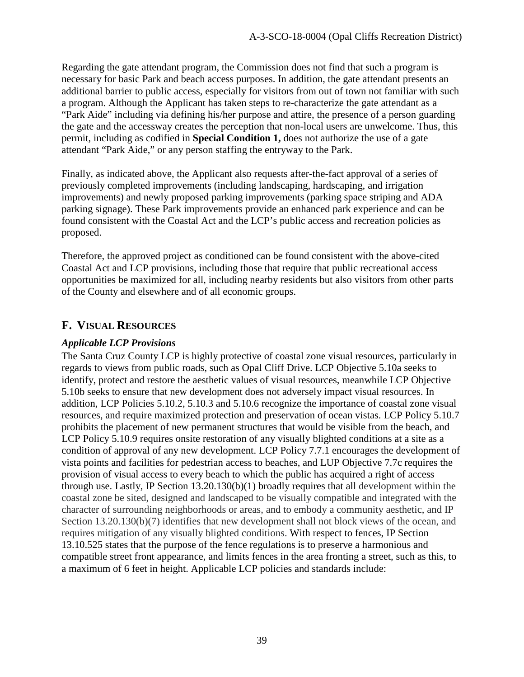Regarding the gate attendant program, the Commission does not find that such a program is necessary for basic Park and beach access purposes. In addition, the gate attendant presents an additional barrier to public access, especially for visitors from out of town not familiar with such a program. Although the Applicant has taken steps to re-characterize the gate attendant as a "Park Aide" including via defining his/her purpose and attire, the presence of a person guarding the gate and the accessway creates the perception that non-local users are unwelcome. Thus, this permit, including as codified in **Special Condition 1,** does not authorize the use of a gate attendant "Park Aide," or any person staffing the entryway to the Park.

Finally, as indicated above, the Applicant also requests after-the-fact approval of a series of previously completed improvements (including landscaping, hardscaping, and irrigation improvements) and newly proposed parking improvements (parking space striping and ADA parking signage). These Park improvements provide an enhanced park experience and can be found consistent with the Coastal Act and the LCP's public access and recreation policies as proposed.

Therefore, the approved project as conditioned can be found consistent with the above-cited Coastal Act and LCP provisions, including those that require that public recreational access opportunities be maximized for all, including nearby residents but also visitors from other parts of the County and elsewhere and of all economic groups.

# **F. VISUAL RESOURCES**

## *Applicable LCP Provisions*

The Santa Cruz County LCP is highly protective of coastal zone visual resources, particularly in regards to views from public roads, such as Opal Cliff Drive. LCP Objective 5.10a seeks to identify, protect and restore the aesthetic values of visual resources, meanwhile LCP Objective 5.10b seeks to ensure that new development does not adversely impact visual resources. In addition, LCP Policies 5.10.2, 5.10.3 and 5.10.6 recognize the importance of coastal zone visual resources, and require maximized protection and preservation of ocean vistas. LCP Policy 5.10.7 prohibits the placement of new permanent structures that would be visible from the beach, and LCP Policy 5.10.9 requires onsite restoration of any visually blighted conditions at a site as a condition of approval of any new development. LCP Policy 7.7.1 encourages the development of vista points and facilities for pedestrian access to beaches, and LUP Objective 7.7c requires the provision of visual access to every beach to which the public has acquired a right of access through use. Lastly, IP Section 13.20.130(b)(1) broadly requires that all development within the coastal zone be sited, designed and landscaped to be visually compatible and integrated with the character of surrounding neighborhoods or areas, and to embody a community aesthetic, and IP Section 13.20.130(b)(7) identifies that new development shall not block views of the ocean, and requires mitigation of any visually blighted conditions. With respect to fences, IP Section 13.10.525 states that the purpose of the fence regulations is to preserve a harmonious and compatible street front appearance, and limits fences in the area fronting a street, such as this, to a maximum of 6 feet in height. Applicable LCP policies and standards include: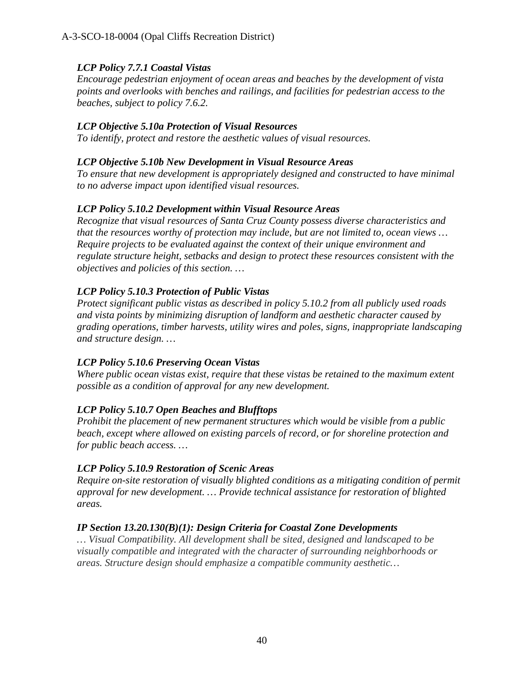# *LCP Policy 7.7.1 Coastal Vistas*

*Encourage pedestrian enjoyment of ocean areas and beaches by the development of vista points and overlooks with benches and railings, and facilities for pedestrian access to the beaches, subject to policy 7.6.2.* 

## *LCP Objective 5.10a Protection of Visual Resources*

*To identify, protect and restore the aesthetic values of visual resources.* 

#### *LCP Objective 5.10b New Development in Visual Resource Areas*

*To ensure that new development is appropriately designed and constructed to have minimal to no adverse impact upon identified visual resources.* 

### *LCP Policy 5.10.2 Development within Visual Resource Areas*

*Recognize that visual resources of Santa Cruz County possess diverse characteristics and that the resources worthy of protection may include, but are not limited to, ocean views … Require projects to be evaluated against the context of their unique environment and regulate structure height, setbacks and design to protect these resources consistent with the objectives and policies of this section. …* 

# *LCP Policy 5.10.3 Protection of Public Vistas*

*Protect significant public vistas as described in policy 5.10.2 from all publicly used roads and vista points by minimizing disruption of landform and aesthetic character caused by grading operations, timber harvests, utility wires and poles, signs, inappropriate landscaping and structure design. …* 

# *LCP Policy 5.10.6 Preserving Ocean Vistas*

*Where public ocean vistas exist, require that these vistas be retained to the maximum extent possible as a condition of approval for any new development.* 

# *LCP Policy 5.10.7 Open Beaches and Blufftops*

*Prohibit the placement of new permanent structures which would be visible from a public beach, except where allowed on existing parcels of record, or for shoreline protection and for public beach access. …* 

# *LCP Policy 5.10.9 Restoration of Scenic Areas*

*Require on-site restoration of visually blighted conditions as a mitigating condition of permit approval for new development. … Provide technical assistance for restoration of blighted areas.* 

# *IP Section 13.20.130(B)(1): Design Criteria for Coastal Zone Developments*

*… Visual Compatibility. All development shall be sited, designed and landscaped to be visually compatible and integrated with the character of surrounding neighborhoods or areas. Structure design should emphasize a compatible community aesthetic…*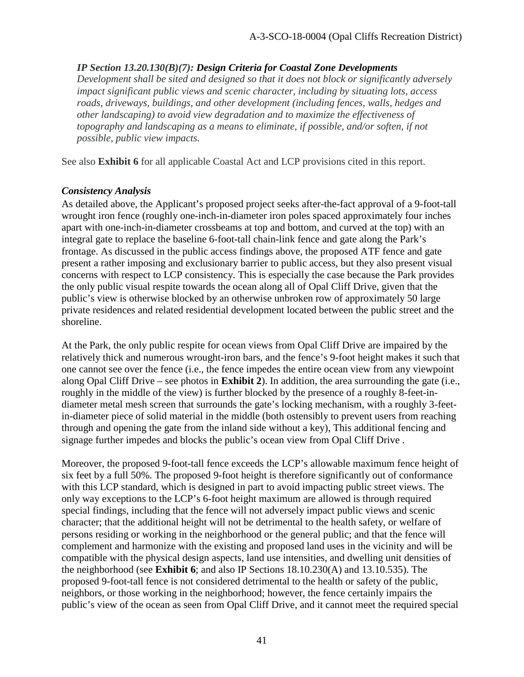#### *IP Section 13.20.130(B)(7): Design Criteria for Coastal Zone Developments*

*Development shall be sited and designed so that it does not block or significantly adversely impact significant public views and scenic character, including by situating lots, access roads, driveways, buildings, and other development (including fences, walls, hedges and other landscaping) to avoid view degradation and to maximize the effectiveness of topography and landscaping as a means to eliminate, if possible, and/or soften, if not possible, public view impacts.*

See also **Exhibit 6** for all applicable Coastal Act and LCP provisions cited in this report.

#### *Consistency Analysis*

As detailed above, the Applicant's proposed project seeks after-the-fact approval of a 9-foot-tall wrought iron fence (roughly one-inch-in-diameter iron poles spaced approximately four inches apart with one-inch-in-diameter crossbeams at top and bottom, and curved at the top) with an integral gate to replace the baseline 6-foot-tall chain-link fence and gate along the Park's frontage. As discussed in the public access findings above, the proposed ATF fence and gate present a rather imposing and exclusionary barrier to public access, but they also present visual concerns with respect to LCP consistency. This is especially the case because the Park provides the only public visual respite towards the ocean along all of Opal Cliff Drive, given that the public's view is otherwise blocked by an otherwise unbroken row of approximately 50 large private residences and related residential development located between the public street and the shoreline.

At the Park, the only public respite for ocean views from Opal Cliff Drive are impaired by the relatively thick and numerous wrought-iron bars, and the fence's 9-foot height makes it such that one cannot see over the fence (i.e., the fence impedes the entire ocean view from any viewpoint along Opal Cliff Drive – see photos in **Exhibit 2**). In addition, the area surrounding the gate (i.e., roughly in the middle of the view) is further blocked by the presence of a roughly 8-feet-indiameter metal mesh screen that surrounds the gate's locking mechanism, with a roughly 3-feetin-diameter piece of solid material in the middle (both ostensibly to prevent users from reaching through and opening the gate from the inland side without a key), This additional fencing and signage further impedes and blocks the public's ocean view from Opal Cliff Drive .

Moreover, the proposed 9-foot-tall fence exceeds the LCP's allowable maximum fence height of six feet by a full 50%. The proposed 9-foot height is therefore significantly out of conformance with this LCP standard, which is designed in part to avoid impacting public street views. The only way exceptions to the LCP's 6-foot height maximum are allowed is through required special findings, including that the fence will not adversely impact public views and scenic character; that the additional height will not be detrimental to the health safety, or welfare of persons residing or working in the neighborhood or the general public; and that the fence will complement and harmonize with the existing and proposed land uses in the vicinity and will be compatible with the physical design aspects, land use intensities, and dwelling unit densities of the neighborhood (see **Exhibit 6**; and also IP Sections 18.10.230(A) and 13.10.535). The proposed 9-foot-tall fence is not considered detrimental to the health or safety of the public, neighbors, or those working in the neighborhood; however, the fence certainly impairs the public's view of the ocean as seen from Opal Cliff Drive, and it cannot meet the required special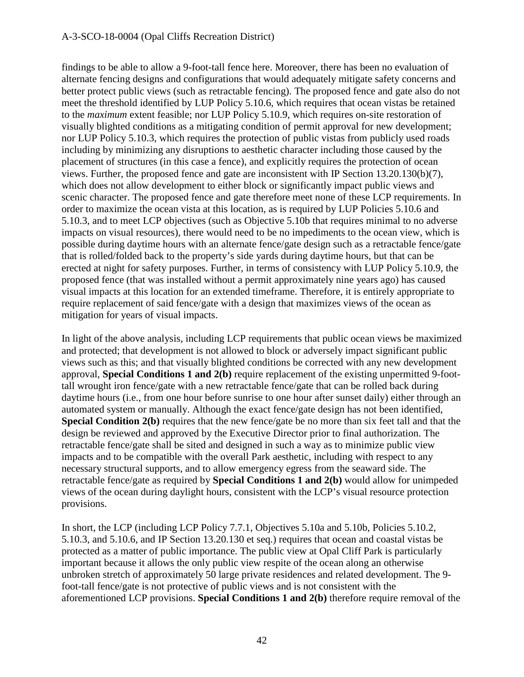#### A-3-SCO-18-0004 (Opal Cliffs Recreation District)

findings to be able to allow a 9-foot-tall fence here. Moreover, there has been no evaluation of alternate fencing designs and configurations that would adequately mitigate safety concerns and better protect public views (such as retractable fencing). The proposed fence and gate also do not meet the threshold identified by LUP Policy 5.10.6, which requires that ocean vistas be retained to the *maximum* extent feasible; nor LUP Policy 5.10.9, which requires on-site restoration of visually blighted conditions as a mitigating condition of permit approval for new development; nor LUP Policy 5.10.3, which requires the protection of public vistas from publicly used roads including by minimizing any disruptions to aesthetic character including those caused by the placement of structures (in this case a fence), and explicitly requires the protection of ocean views. Further, the proposed fence and gate are inconsistent with IP Section 13.20.130(b)(7), which does not allow development to either block or significantly impact public views and scenic character. The proposed fence and gate therefore meet none of these LCP requirements. In order to maximize the ocean vista at this location, as is required by LUP Policies 5.10.6 and 5.10.3, and to meet LCP objectives (such as Objective 5.10b that requires minimal to no adverse impacts on visual resources), there would need to be no impediments to the ocean view, which is possible during daytime hours with an alternate fence/gate design such as a retractable fence/gate that is rolled/folded back to the property's side yards during daytime hours, but that can be erected at night for safety purposes. Further, in terms of consistency with LUP Policy 5.10.9, the proposed fence (that was installed without a permit approximately nine years ago) has caused visual impacts at this location for an extended timeframe. Therefore, it is entirely appropriate to require replacement of said fence/gate with a design that maximizes views of the ocean as mitigation for years of visual impacts.

In light of the above analysis, including LCP requirements that public ocean views be maximized and protected; that development is not allowed to block or adversely impact significant public views such as this; and that visually blighted conditions be corrected with any new development approval, **Special Conditions 1 and 2(b)** require replacement of the existing unpermitted 9-foottall wrought iron fence/gate with a new retractable fence/gate that can be rolled back during daytime hours (i.e., from one hour before sunrise to one hour after sunset daily) either through an automated system or manually. Although the exact fence/gate design has not been identified, **Special Condition 2(b)** requires that the new fence/gate be no more than six feet tall and that the design be reviewed and approved by the Executive Director prior to final authorization. The retractable fence/gate shall be sited and designed in such a way as to minimize public view impacts and to be compatible with the overall Park aesthetic, including with respect to any necessary structural supports, and to allow emergency egress from the seaward side. The retractable fence/gate as required by **Special Conditions 1 and 2(b)** would allow for unimpeded views of the ocean during daylight hours, consistent with the LCP's visual resource protection provisions.

In short, the LCP (including LCP Policy 7.7.1, Objectives 5.10a and 5.10b, Policies 5.10.2, 5.10.3, and 5.10.6, and IP Section 13.20.130 et seq.) requires that ocean and coastal vistas be protected as a matter of public importance. The public view at Opal Cliff Park is particularly important because it allows the only public view respite of the ocean along an otherwise unbroken stretch of approximately 50 large private residences and related development. The 9 foot-tall fence/gate is not protective of public views and is not consistent with the aforementioned LCP provisions. **Special Conditions 1 and 2(b)** therefore require removal of the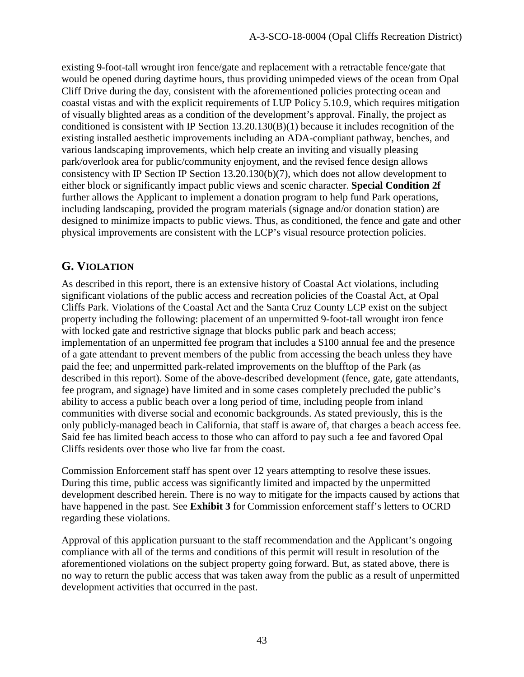existing 9-foot-tall wrought iron fence/gate and replacement with a retractable fence/gate that would be opened during daytime hours, thus providing unimpeded views of the ocean from Opal Cliff Drive during the day, consistent with the aforementioned policies protecting ocean and coastal vistas and with the explicit requirements of LUP Policy 5.10.9, which requires mitigation of visually blighted areas as a condition of the development's approval. Finally, the project as conditioned is consistent with IP Section 13.20.130(B)(1) because it includes recognition of the existing installed aesthetic improvements including an ADA-compliant pathway, benches, and various landscaping improvements, which help create an inviting and visually pleasing park/overlook area for public/community enjoyment, and the revised fence design allows consistency with IP Section IP Section 13.20.130(b)(7), which does not allow development to either block or significantly impact public views and scenic character. **Special Condition 2f** further allows the Applicant to implement a donation program to help fund Park operations, including landscaping, provided the program materials (signage and/or donation station) are designed to minimize impacts to public views. Thus, as conditioned, the fence and gate and other physical improvements are consistent with the LCP's visual resource protection policies.

# **G. VIOLATION**

As described in this report, there is an extensive history of Coastal Act violations, including significant violations of the public access and recreation policies of the Coastal Act, at Opal Cliffs Park. Violations of the Coastal Act and the Santa Cruz County LCP exist on the subject property including the following: placement of an unpermitted 9-foot-tall wrought iron fence with locked gate and restrictive signage that blocks public park and beach access; implementation of an unpermitted fee program that includes a \$100 annual fee and the presence of a gate attendant to prevent members of the public from accessing the beach unless they have paid the fee; and unpermitted park-related improvements on the blufftop of the Park (as described in this report). Some of the above-described development (fence, gate, gate attendants, fee program, and signage) have limited and in some cases completely precluded the public's ability to access a public beach over a long period of time, including people from inland communities with diverse social and economic backgrounds. As stated previously, this is the only publicly-managed beach in California, that staff is aware of, that charges a beach access fee. Said fee has limited beach access to those who can afford to pay such a fee and favored Opal Cliffs residents over those who live far from the coast.

Commission Enforcement staff has spent over 12 years attempting to resolve these issues. During this time, public access was significantly limited and impacted by the unpermitted development described herein. There is no way to mitigate for the impacts caused by actions that have happened in the past. See **Exhibit 3** for Commission enforcement staff's letters to OCRD regarding these violations.

Approval of this application pursuant to the staff recommendation and the Applicant's ongoing compliance with all of the terms and conditions of this permit will result in resolution of the aforementioned violations on the subject property going forward. But, as stated above, there is no way to return the public access that was taken away from the public as a result of unpermitted development activities that occurred in the past.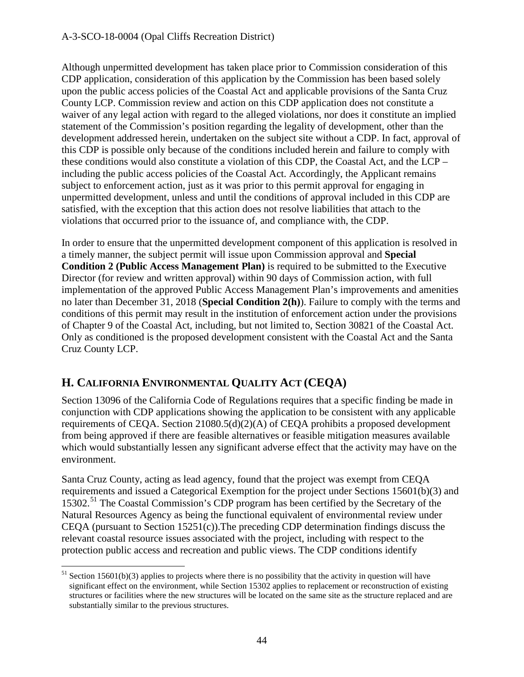#### A-3-SCO-18-0004 (Opal Cliffs Recreation District)

Although unpermitted development has taken place prior to Commission consideration of this CDP application, consideration of this application by the Commission has been based solely upon the public access policies of the Coastal Act and applicable provisions of the Santa Cruz County LCP. Commission review and action on this CDP application does not constitute a waiver of any legal action with regard to the alleged violations, nor does it constitute an implied statement of the Commission's position regarding the legality of development, other than the development addressed herein, undertaken on the subject site without a CDP. In fact, approval of this CDP is possible only because of the conditions included herein and failure to comply with these conditions would also constitute a violation of this CDP, the Coastal Act, and the LCP – including the public access policies of the Coastal Act. Accordingly, the Applicant remains subject to enforcement action, just as it was prior to this permit approval for engaging in unpermitted development, unless and until the conditions of approval included in this CDP are satisfied, with the exception that this action does not resolve liabilities that attach to the violations that occurred prior to the issuance of, and compliance with, the CDP.

In order to ensure that the unpermitted development component of this application is resolved in a timely manner, the subject permit will issue upon Commission approval and **Special Condition 2 (Public Access Management Plan)** is required to be submitted to the Executive Director (for review and written approval) within 90 days of Commission action, with full implementation of the approved Public Access Management Plan's improvements and amenities no later than December 31, 2018 (**Special Condition 2(h)**). Failure to comply with the terms and conditions of this permit may result in the institution of enforcement action under the provisions of Chapter 9 of the Coastal Act, including, but not limited to, Section 30821 of the Coastal Act. Only as conditioned is the proposed development consistent with the Coastal Act and the Santa Cruz County LCP.

# **H. CALIFORNIA ENVIRONMENTAL QUALITY ACT (CEQA)**

 $\overline{a}$ 

Section 13096 of the California Code of Regulations requires that a specific finding be made in conjunction with CDP applications showing the application to be consistent with any applicable requirements of CEQA. Section 21080.5(d)(2)(A) of CEQA prohibits a proposed development from being approved if there are feasible alternatives or feasible mitigation measures available which would substantially lessen any significant adverse effect that the activity may have on the environment.

Santa Cruz County, acting as lead agency, found that the project was exempt from CEQA requirements and issued a Categorical Exemption for the project under Sections 15601(b)(3) and 15302.<sup>[51](#page-43-0)</sup> The Coastal Commission's CDP program has been certified by the Secretary of the Natural Resources Agency as being the functional equivalent of environmental review under CEQA (pursuant to Section 15251(c)).The preceding CDP determination findings discuss the relevant coastal resource issues associated with the project, including with respect to the protection public access and recreation and public views. The CDP conditions identify

<span id="page-43-0"></span> $51$  Section 15601(b)(3) applies to projects where there is no possibility that the activity in question will have significant effect on the environment, while Section 15302 applies to replacement or reconstruction of existing structures or facilities where the new structures will be located on the same site as the structure replaced and are substantially similar to the previous structures.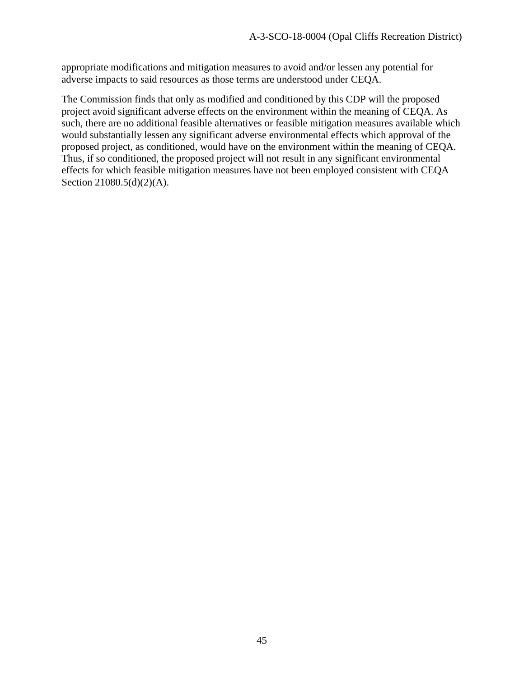appropriate modifications and mitigation measures to avoid and/or lessen any potential for adverse impacts to said resources as those terms are understood under CEQA.

The Commission finds that only as modified and conditioned by this CDP will the proposed project avoid significant adverse effects on the environment within the meaning of CEQA. As such, there are no additional feasible alternatives or feasible mitigation measures available which would substantially lessen any significant adverse environmental effects which approval of the proposed project, as conditioned, would have on the environment within the meaning of CEQA. Thus, if so conditioned, the proposed project will not result in any significant environmental effects for which feasible mitigation measures have not been employed consistent with CEQA Section 21080.5(d)(2)(A).